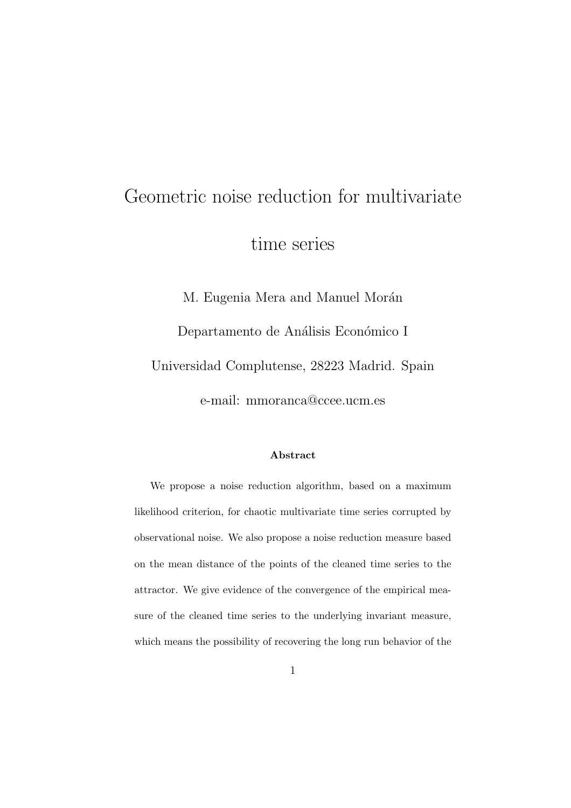# Geometric noise reduction for multivariate time series

M. Eugenia Mera and Manuel Morán Departamento de Análisis Económico I Universidad Complutense, 28223 Madrid. Spain e-mail: mmoranca@ccee.ucm.es

#### Abstract

We propose a noise reduction algorithm, based on a maximum likelihood criterion, for chaotic multivariate time series corrupted by observational noise. We also propose a noise reduction measure based on the mean distance of the points of the cleaned time series to the attractor. We give evidence of the convergence of the empirical measure of the cleaned time series to the underlying invariant measure, which means the possibility of recovering the long run behavior of the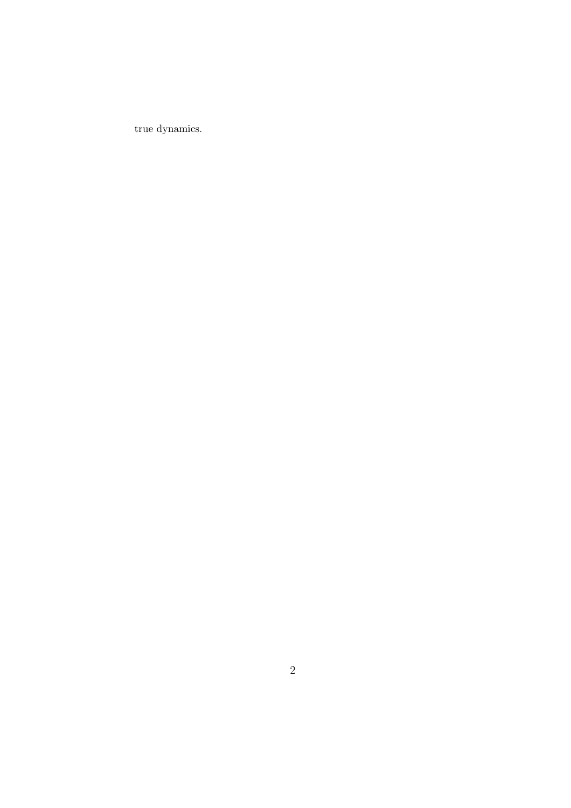true dynamics.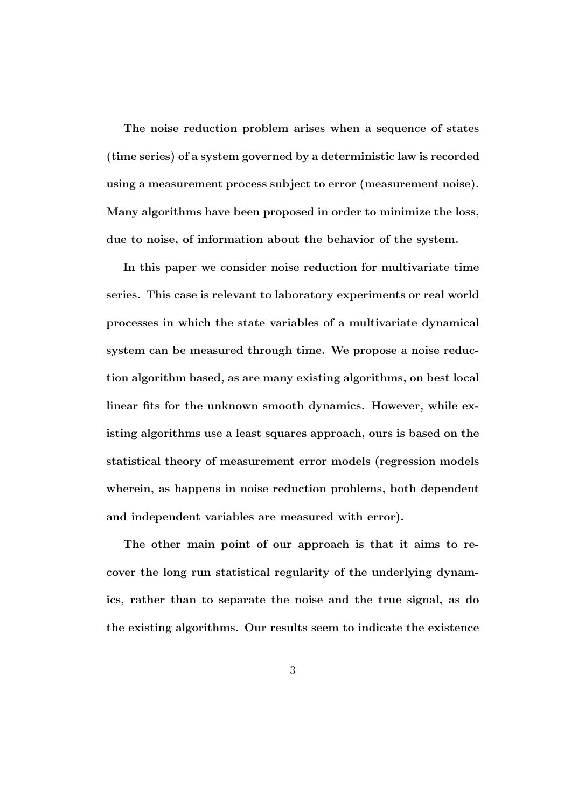The noise reduction problem arises when a sequence of states (time series) of a system governed by a deterministic law is recorded using a measurement process subject to error (measurement noise). Many algorithms have been proposed in order to minimize the loss, due to noise, of information about the behavior of the system.

In this paper we consider noise reduction for multivariate time series. This case is relevant to laboratory experiments or real world processes in which the state variables of a multivariate dynamical system can be measured through time. We propose a noise reduction algorithm based, as are many existing algorithms, on best local linear fits for the unknown smooth dynamics. However, while existing algorithms use a least squares approach, ours is based on the statistical theory of measurement error models (regression models wherein, as happens in noise reduction problems, both dependent and independent variables are measured with error).

The other main point of our approach is that it aims to recover the long run statistical regularity of the underlying dynamics, rather than to separate the noise and the true signal, as do the existing algorithms. Our results seem to indicate the existence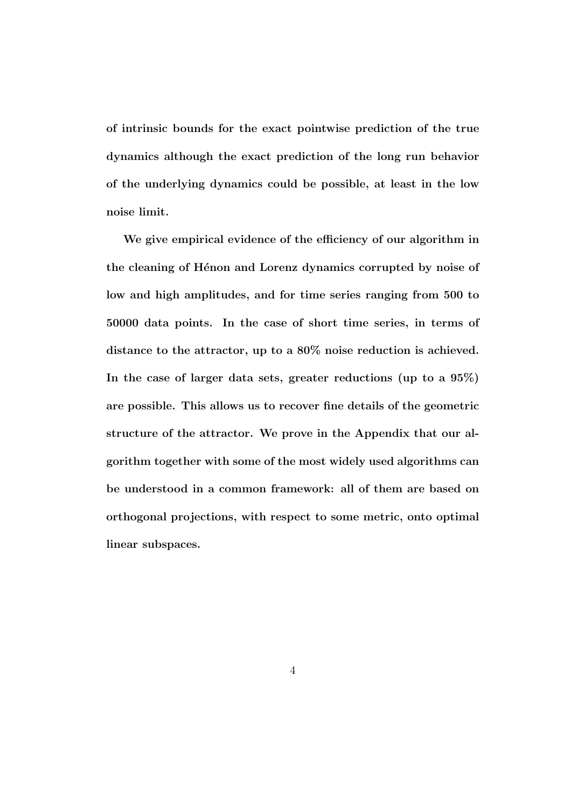of intrinsic bounds for the exact pointwise prediction of the true dynamics although the exact prediction of the long run behavior of the underlying dynamics could be possible, at least in the low noise limit.

We give empirical evidence of the efficiency of our algorithm in the cleaning of Hénon and Lorenz dynamics corrupted by noise of low and high amplitudes, and for time series ranging from 500 to 50000 data points. In the case of short time series, in terms of distance to the attractor, up to a 80% noise reduction is achieved. In the case of larger data sets, greater reductions (up to a 95%) are possible. This allows us to recover fine details of the geometric structure of the attractor. We prove in the Appendix that our algorithm together with some of the most widely used algorithms can be understood in a common framework: all of them are based on orthogonal projections, with respect to some metric, onto optimal linear subspaces.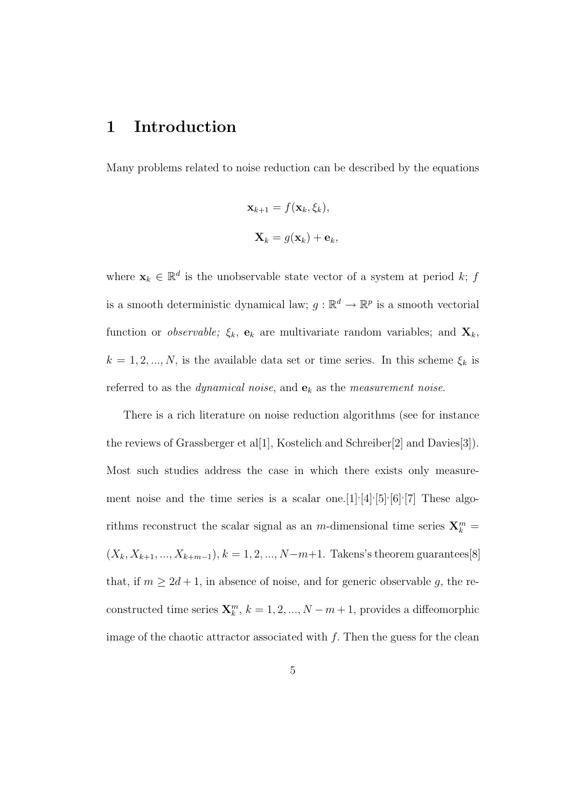## 1 Introduction

Many problems related to noise reduction can be described by the equations

$$
\mathbf{x}_{k+1} = f(\mathbf{x}_k, \xi_k),
$$
  

$$
\mathbf{X}_k = g(\mathbf{x}_k) + \mathbf{e}_k,
$$

where  $\mathbf{x}_k \in \mathbb{R}^d$  is the unobservable state vector of a system at period k; f is a smooth deterministic dynamical law;  $g: \mathbb{R}^d \to \mathbb{R}^p$  is a smooth vectorial function or *observable*;  $\xi_k$ ,  $\mathbf{e}_k$  are multivariate random variables; and  $\mathbf{X}_k$ ,  $k = 1, 2, ..., N$ , is the available data set or time series. In this scheme  $\xi_k$  is referred to as the *dynamical noise*, and  $\mathbf{e}_k$  as the *measurement noise*.

There is a rich literature on noise reduction algorithms (see for instance the reviews of Grassberger et al[1], Kostelich and Schreiber[2] and Davies[3]). Most such studies address the case in which there exists only measurement noise and the time series is a scalar one. [1] $\cdot$ [4] $\cdot$ [5] $\cdot$ [6] $\cdot$ [7] These algorithms reconstruct the scalar signal as an  $m$ -dimensional time series  $\mathbf{X}_k^m =$  $(X_k, X_{k+1}, ..., X_{k+m-1}), k = 1, 2, ..., N-m+1$ . Takens's theorem guarantees[8] that, if  $m \geq 2d + 1$ , in absence of noise, and for generic observable g, the reconstructed time series  $\mathbf{X}_k^m$ ,  $k = 1, 2, ..., N - m + 1$ , provides a diffeomorphic image of the chaotic attractor associated with  $f$ . Then the guess for the clean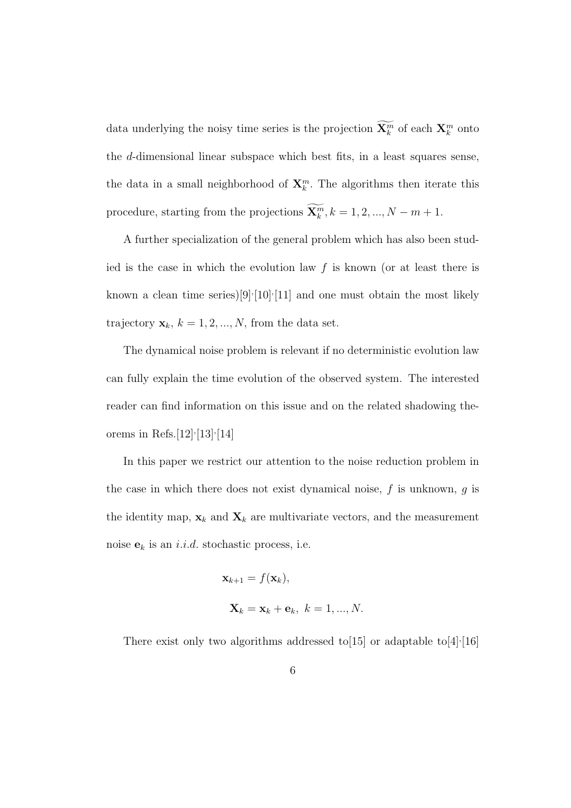data underlying the noisy time series is the projection  $\widetilde{\mathbf{X}^m_k}$  of each  $\mathbf{X}^m_k$  onto the d-dimensional linear subspace which best fits, in a least squares sense, the data in a small neighborhood of  $\mathbf{X}_k^m$ . The algorithms then iterate this procedure, starting from the projections  $\widetilde{\mathbf{X}_k^m}$ ,  $k = 1, 2, ..., N - m + 1$ .

A further specialization of the general problem which has also been studied is the case in which the evolution law  $f$  is known (or at least there is known a clean time series) $[9]$ <sup> $\cdot$ </sup>[10]<sup> $\cdot$ </sup>[11] and one must obtain the most likely trajectory  $\mathbf{x}_k$ ,  $k = 1, 2, ..., N$ , from the data set.

The dynamical noise problem is relevant if no deterministic evolution law can fully explain the time evolution of the observed system. The interested reader can find information on this issue and on the related shadowing theorems in Refs.  $[12]$ <sup>,</sup>  $[13]$ <sup>,</sup>  $[14]$ 

In this paper we restrict our attention to the noise reduction problem in the case in which there does not exist dynamical noise,  $f$  is unknown,  $g$  is the identity map,  $\mathbf{x}_k$  and  $\mathbf{X}_k$  are multivariate vectors, and the measurement noise  $\mathbf{e}_k$  is an *i.i.d.* stochastic process, i.e.

$$
\mathbf{x}_{k+1} = f(\mathbf{x}_k),
$$
  

$$
\mathbf{X}_k = \mathbf{x}_k + \mathbf{e}_k, \ k = 1, ..., N.
$$

There exist only two algorithms addressed to [15] or adaptable to [4] $\cdot$ [16]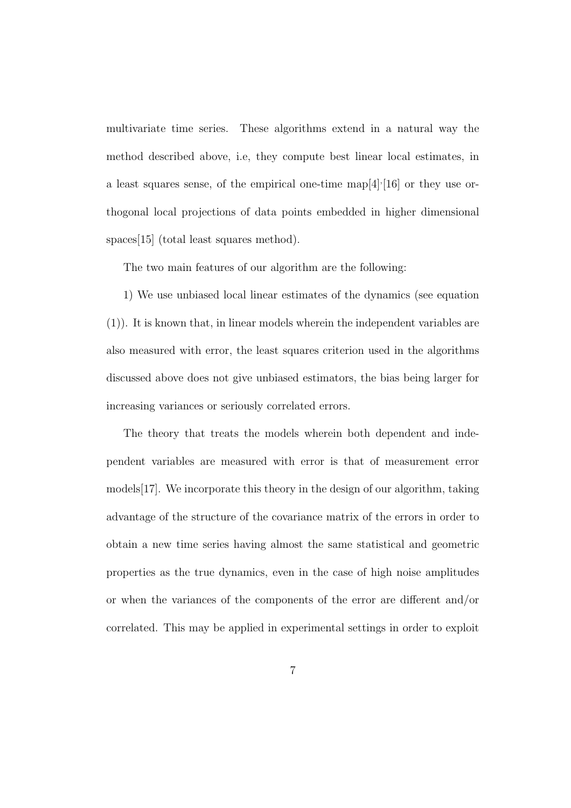multivariate time series. These algorithms extend in a natural way the method described above, i.e, they compute best linear local estimates, in a least squares sense, of the empirical one-time map[4], [16] or they use orthogonal local projections of data points embedded in higher dimensional spaces [15] (total least squares method).

The two main features of our algorithm are the following:

1) We use unbiased local linear estimates of the dynamics (see equation (1)). It is known that, in linear models wherein the independent variables are also measured with error, the least squares criterion used in the algorithms discussed above does not give unbiased estimators, the bias being larger for increasing variances or seriously correlated errors.

The theory that treats the models wherein both dependent and independent variables are measured with error is that of measurement error models[17]. We incorporate this theory in the design of our algorithm, taking advantage of the structure of the covariance matrix of the errors in order to obtain a new time series having almost the same statistical and geometric properties as the true dynamics, even in the case of high noise amplitudes or when the variances of the components of the error are different and/or correlated. This may be applied in experimental settings in order to exploit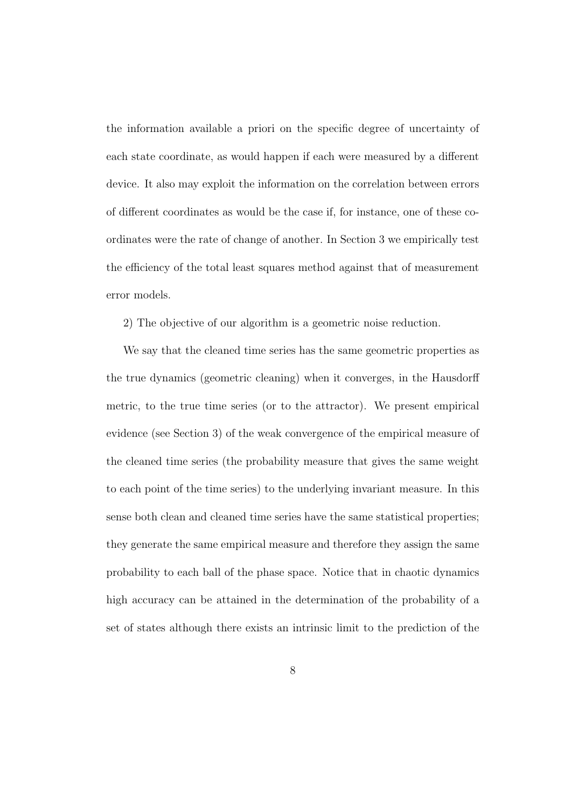the information available a priori on the specific degree of uncertainty of each state coordinate, as would happen if each were measured by a different device. It also may exploit the information on the correlation between errors of different coordinates as would be the case if, for instance, one of these coordinates were the rate of change of another. In Section 3 we empirically test the efficiency of the total least squares method against that of measurement error models.

2) The objective of our algorithm is a geometric noise reduction.

We say that the cleaned time series has the same geometric properties as the true dynamics (geometric cleaning) when it converges, in the Hausdorff metric, to the true time series (or to the attractor). We present empirical evidence (see Section 3) of the weak convergence of the empirical measure of the cleaned time series (the probability measure that gives the same weight to each point of the time series) to the underlying invariant measure. In this sense both clean and cleaned time series have the same statistical properties; they generate the same empirical measure and therefore they assign the same probability to each ball of the phase space. Notice that in chaotic dynamics high accuracy can be attained in the determination of the probability of a set of states although there exists an intrinsic limit to the prediction of the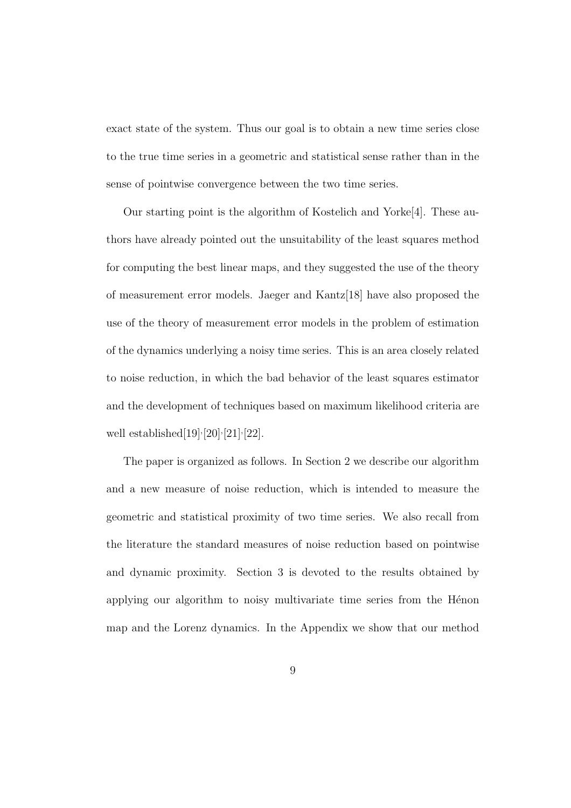exact state of the system. Thus our goal is to obtain a new time series close to the true time series in a geometric and statistical sense rather than in the sense of pointwise convergence between the two time series.

Our starting point is the algorithm of Kostelich and Yorke[4]. These authors have already pointed out the unsuitability of the least squares method for computing the best linear maps, and they suggested the use of the theory of measurement error models. Jaeger and Kantz[18] have also proposed the use of the theory of measurement error models in the problem of estimation of the dynamics underlying a noisy time series. This is an area closely related to noise reduction, in which the bad behavior of the least squares estimator and the development of techniques based on maximum likelihood criteria are well established [19] $\frac{19}{20}$  $\frac{20}{21}$  $\frac{22}{.}$ 

The paper is organized as follows. In Section 2 we describe our algorithm and a new measure of noise reduction, which is intended to measure the geometric and statistical proximity of two time series. We also recall from the literature the standard measures of noise reduction based on pointwise and dynamic proximity. Section 3 is devoted to the results obtained by applying our algorithm to noisy multivariate time series from the Henon map and the Lorenz dynamics. In the Appendix we show that our method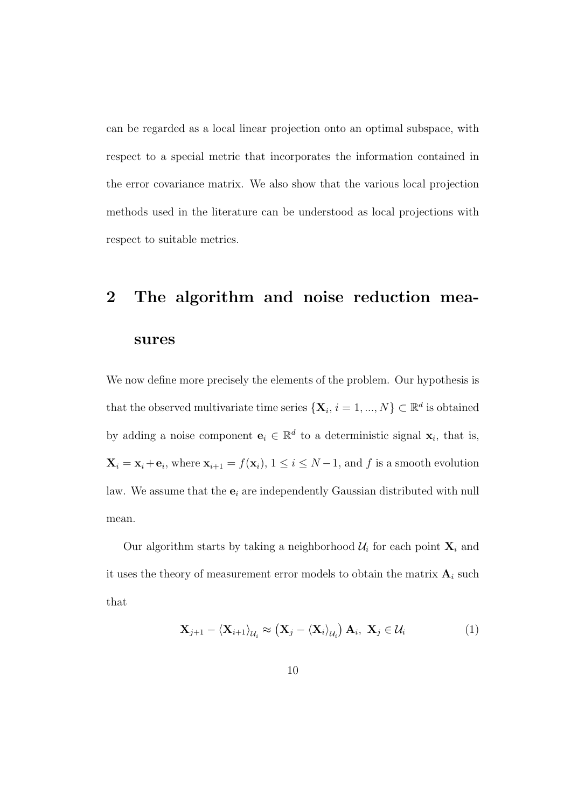can be regarded as a local linear projection onto an optimal subspace, with respect to a special metric that incorporates the information contained in the error covariance matrix. We also show that the various local projection methods used in the literature can be understood as local projections with respect to suitable metrics.

# 2 The algorithm and noise reduction measures

We now define more precisely the elements of the problem. Our hypothesis is that the observed multivariate time series  $\{X_i, i = 1, ..., N\} \subset \mathbb{R}^d$  is obtained by adding a noise component  $e_i \in \mathbb{R}^d$  to a deterministic signal  $x_i$ , that is,  $\mathbf{X}_i = \mathbf{x}_i + \mathbf{e}_i$ , where  $\mathbf{x}_{i+1} = f(\mathbf{x}_i)$ ,  $1 \le i \le N-1$ , and f is a smooth evolution law. We assume that the  $e_i$  are independently Gaussian distributed with null mean.

Our algorithm starts by taking a neighborhood  $\mathcal{U}_i$  for each point  $\mathbf{X}_i$  and it uses the theory of measurement error models to obtain the matrix  $\mathbf{A}_i$  such that

$$
\mathbf{X}_{j+1} - \langle \mathbf{X}_{i+1} \rangle_{\mathcal{U}_i} \approx \left( \mathbf{X}_j - \langle \mathbf{X}_i \rangle_{\mathcal{U}_i} \right) \mathbf{A}_i, \ \mathbf{X}_j \in \mathcal{U}_i
$$
 (1)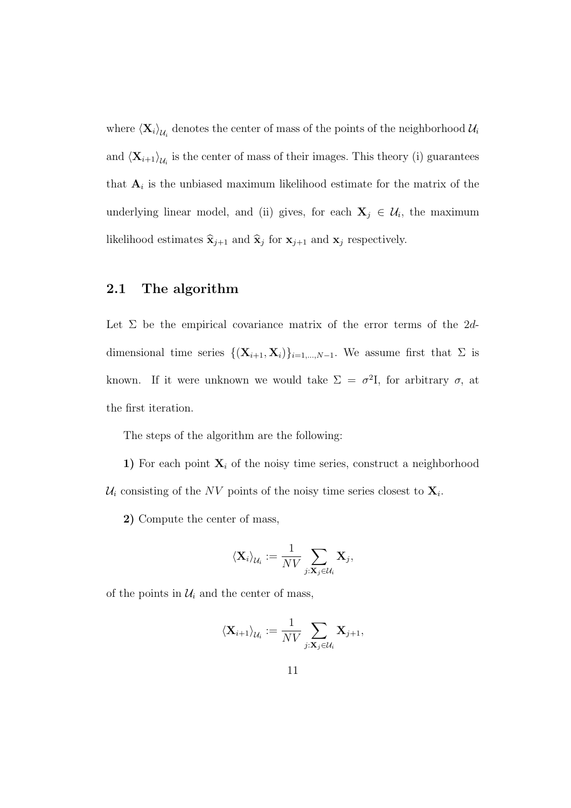where  $\langle \mathbf{X}_i \rangle_{\mathcal{U}_i}$  denotes the center of mass of the points of the neighborhood  $\mathcal{U}_i$ and  $\langle \mathbf{X}_{i+1} \rangle_{\mathcal{U}_i}$  is the center of mass of their images. This theory (i) guarantees that  $A_i$  is the unbiased maximum likelihood estimate for the matrix of the underlying linear model, and (ii) gives, for each  $X_j \in \mathcal{U}_i$ , the maximum likelihood estimates  $\hat{\mathbf{x}}_{j+1}$  and  $\hat{\mathbf{x}}_j$  for  $\mathbf{x}_{j+1}$  and  $\mathbf{x}_j$  respectively.

#### 2.1 The algorithm

Let  $\Sigma$  be the empirical covariance matrix of the error terms of the 2ddimensional time series  $\{(\mathbf{X}_{i+1}, \mathbf{X}_i)\}_{i=1,\dots,N-1}$ . We assume first that  $\Sigma$  is known. If it were unknown we would take  $\Sigma = \sigma^2 I$ , for arbitrary  $\sigma$ , at the first iteration.

The steps of the algorithm are the following:

1) For each point  $X_i$  of the noisy time series, construct a neighborhood  $\mathcal{U}_i$  consisting of the NV points of the noisy time series closest to  $\mathbf{X}_i$ .

2) Compute the center of mass,

$$
\langle \mathbf{X}_i \rangle_{\mathcal{U}_i} := \frac{1}{NV} \sum_{j: \mathbf{X}_j \in \mathcal{U}_i} \mathbf{X}_j,
$$

of the points in  $\mathcal{U}_i$  and the center of mass,

$$
\langle \mathbf{X}_{i+1} \rangle_{\mathcal{U}_i} := \frac{1}{NV} \sum_{j: \mathbf{X}_j \in \mathcal{U}_i} \mathbf{X}_{j+1},
$$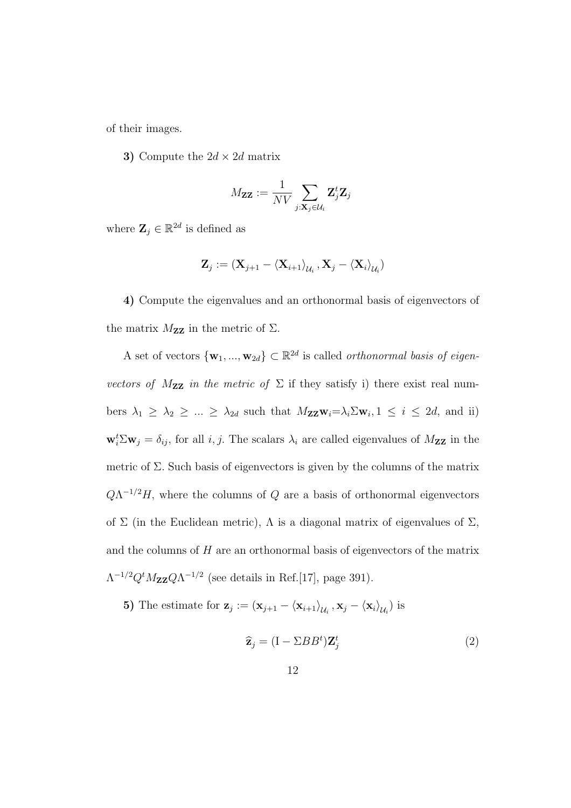of their images.

3) Compute the  $2d \times 2d$  matrix

$$
M_{\mathbf{Z}\mathbf{Z}} := \frac{1}{NV} \sum_{j: \mathbf{X}_j \in \mathcal{U}_i} \mathbf{Z}_j^t \mathbf{Z}_j
$$

where  $\mathbf{Z}_j \in \mathbb{R}^{2d}$  is defined as

$$
\mathbf{Z}_{j}:=\left(\mathbf{X}_{j+1}-\left\langle \mathbf{X}_{i+1}\right\rangle _{\mathcal{U}_{i}},\mathbf{X}_{j}-\left\langle \mathbf{X}_{i}\right\rangle _{\mathcal{U}_{i}}\right)
$$

4) Compute the eigenvalues and an orthonormal basis of eigenvectors of the matrix  $M_{\mathbf{Z}\mathbf{Z}}$  in the metric of  $\Sigma$ .

A set of vectors  $\{w_1, ..., w_{2d}\} \subset \mathbb{R}^{2d}$  is called *orthonormal basis of eigen*vectors of  $M_{ZZ}$  in the metric of  $\Sigma$  if they satisfy i) there exist real numbers  $\lambda_1 \geq \lambda_2 \geq \ldots \geq \lambda_{2d}$  such that  $M_{\mathbf{ZZ}} \mathbf{w}_i = \lambda_i \Sigma \mathbf{w}_i, 1 \leq i \leq 2d$ , and ii)  $\mathbf{w}_i^t \Sigma \mathbf{w}_j = \delta_{ij}$ , for all *i*, *j*. The scalars  $\lambda_i$  are called eigenvalues of  $M_{\mathbf{ZZ}}$  in the metric of  $\Sigma$ . Such basis of eigenvectors is given by the columns of the matrix  $Q\Lambda^{-1/2}H$ , where the columns of Q are a basis of orthonormal eigenvectors of  $\Sigma$  (in the Euclidean metric),  $\Lambda$  is a diagonal matrix of eigenvalues of  $\Sigma$ , and the columns of  $H$  are an orthonormal basis of eigenvectors of the matrix  $\Lambda^{-1/2} Q^t M_{\mathbf{Z} \mathbf{Z}} Q \Lambda^{-1/2}$  (see details in Ref.[17], page 391).

5) The estimate for  $\mathbf{z}_j := (\mathbf{x}_{j+1} - \langle \mathbf{x}_{i+1} \rangle_{\mathcal{U}_i}, \mathbf{x}_j - \langle \mathbf{x}_i \rangle_{\mathcal{U}_i})$  is

$$
\widehat{\mathbf{z}}_j = (\mathbf{I} - \Sigma BB^t) \mathbf{Z}_j^t \tag{2}
$$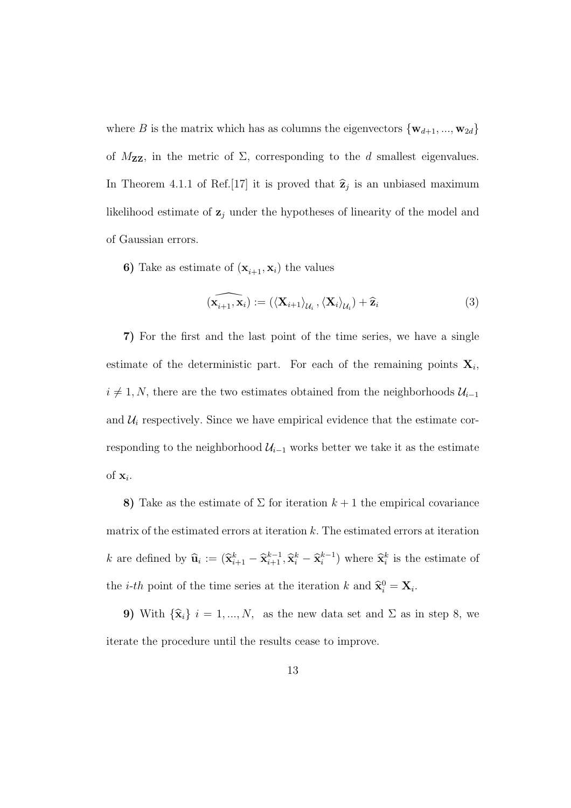where B is the matrix which has as columns the eigenvectors  $\{w_{d+1}, ..., w_{2d}\}\$ of  $M_{\mathbf{ZZ}}$ , in the metric of  $\Sigma$ , corresponding to the d smallest eigenvalues. In Theorem 4.1.1 of Ref. [17] it is proved that  $\hat{\mathbf{z}}_j$  is an unbiased maximum likelihood estimate of  $z_j$  under the hypotheses of linearity of the model and of Gaussian errors.

6) Take as estimate of  $(\mathbf{x}_{i+1}, \mathbf{x}_i)$  the values

$$
(\widehat{\mathbf{x}_{i+1}, \mathbf{x}_i}) := (\langle \mathbf{X}_{i+1} \rangle_{\mathcal{U}_i}, \langle \mathbf{X}_i \rangle_{\mathcal{U}_i}) + \widehat{\mathbf{z}}_i
$$
\n(3)

7) For the first and the last point of the time series, we have a single estimate of the deterministic part. For each of the remaining points  $X_i$ ,  $i \neq 1, N$ , there are the two estimates obtained from the neighborhoods  $\mathcal{U}_{i-1}$ and  $\mathcal{U}_i$  respectively. Since we have empirical evidence that the estimate corresponding to the neighborhood  $\mathcal{U}_{i-1}$  works better we take it as the estimate of  $\mathbf{x}_i$ .

8) Take as the estimate of  $\Sigma$  for iteration  $k+1$  the empirical covariance matrix of the estimated errors at iteration  $k$ . The estimated errors at iteration k are defined by  $\widehat{\mathbf{u}}_i := (\widehat{\mathbf{x}}_{i+1}^k - \widehat{\mathbf{x}}_{i+1}^{k-1}, \widehat{\mathbf{x}}_i^k - \widehat{\mathbf{x}}_i^{k-1}$  $i^{k-1}$ ) where  $\widehat{\mathbf{x}}_i^k$  is the estimate of the *i-th* point of the time series at the iteration k and  $\hat{\mathbf{x}}_i^0 = \mathbf{X}_i$ .

9) With  $\{\hat{\mathbf{x}}_i\}$  i = 1, ..., N, as the new data set and  $\Sigma$  as in step 8, we iterate the procedure until the results cease to improve.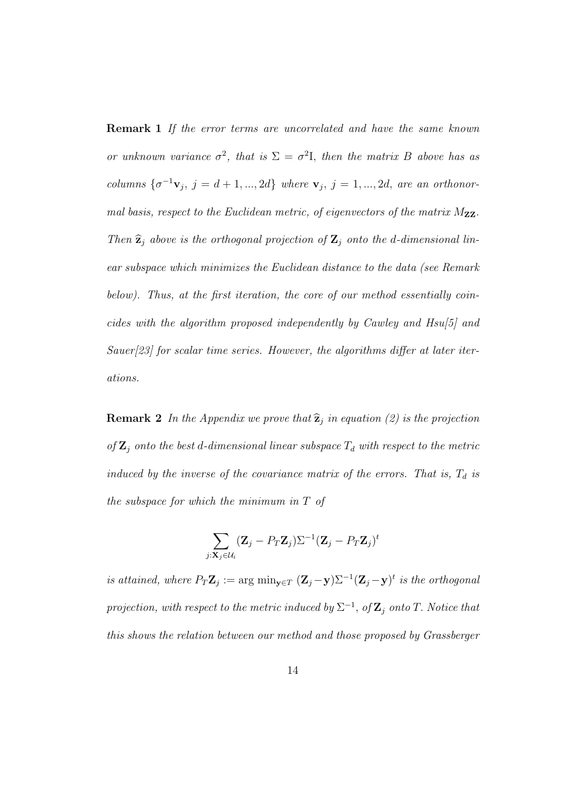**Remark 1** If the error terms are uncorrelated and have the same known or unknown variance  $\sigma^2$ , that is  $\Sigma = \sigma^2 I$ , then the matrix B above has as columns  $\{\sigma^{-1}\mathbf{v}_j, j = d+1, ..., 2d\}$  where  $\mathbf{v}_j, j = 1, ..., 2d$ , are an orthonormal basis, respect to the Euclidean metric, of eigenvectors of the matrix  $M_{ZZ}$ . Then  $\hat{\mathbf{z}}_j$  above is the orthogonal projection of  $\mathbf{Z}_j$  onto the d-dimensional linear subspace which minimizes the Euclidean distance to the data (see Remark below). Thus, at the first iteration, the core of our method essentially coincides with the algorithm proposed independently by Cawley and Hsu[5] and Sauer[23] for scalar time series. However, the algorithms differ at later iterations.

**Remark 2** In the Appendix we prove that  $\hat{z}_j$  in equation (2) is the projection of  $\mathbf{Z}_j$  onto the best d-dimensional linear subspace  $T_d$  with respect to the metric induced by the inverse of the covariance matrix of the errors. That is,  $T_d$  is the subspace for which the minimum in T of

$$
\sum_{j:\mathbf{X}_j\in\mathcal{U}_i} (\mathbf{Z}_j - P_T \mathbf{Z}_j) \Sigma^{-1} (\mathbf{Z}_j - P_T \mathbf{Z}_j)^t
$$

is attained, where  $P_T \mathbf{Z}_j := \arg \min_{\mathbf{y} \in T} (\mathbf{Z}_j - \mathbf{y}) \Sigma^{-1} (\mathbf{Z}_j - \mathbf{y})^t$  is the orthogonal projection, with respect to the metric induced by  $\Sigma^{-1}$ , of  $\mathbf{Z}_j$  onto T. Notice that this shows the relation between our method and those proposed by Grassberger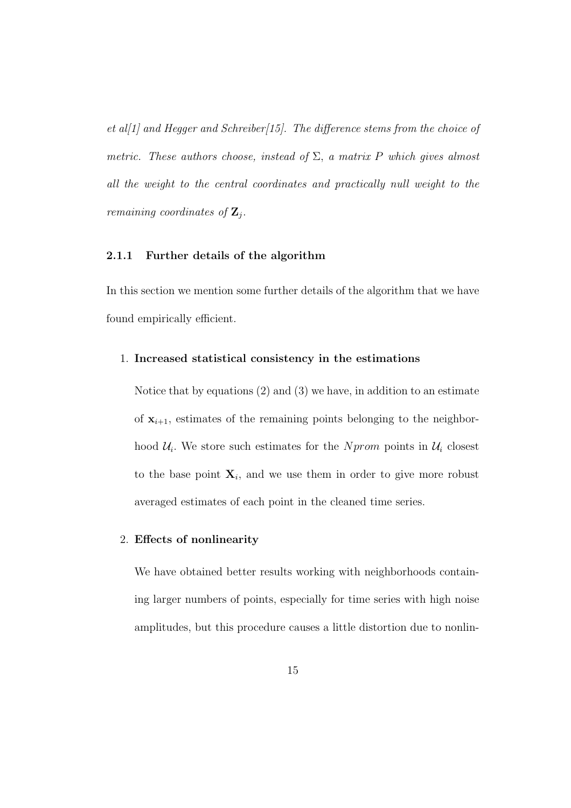et al[1] and Hegger and Schreiber[15]. The difference stems from the choice of metric. These authors choose, instead of  $\Sigma$ , a matrix P which gives almost all the weight to the central coordinates and practically null weight to the remaining coordinates of  $\mathbf{Z}_j$ .

#### 2.1.1 Further details of the algorithm

In this section we mention some further details of the algorithm that we have found empirically efficient.

#### 1. Increased statistical consistency in the estimations

Notice that by equations (2) and (3) we have, in addition to an estimate of  $x_{i+1}$ , estimates of the remaining points belonging to the neighborhood  $\mathcal{U}_i$ . We store such estimates for the Nprom points in  $\mathcal{U}_i$  closest to the base point  $X_i$ , and we use them in order to give more robust averaged estimates of each point in the cleaned time series.

#### 2. Effects of nonlinearity

We have obtained better results working with neighborhoods containing larger numbers of points, especially for time series with high noise amplitudes, but this procedure causes a little distortion due to nonlin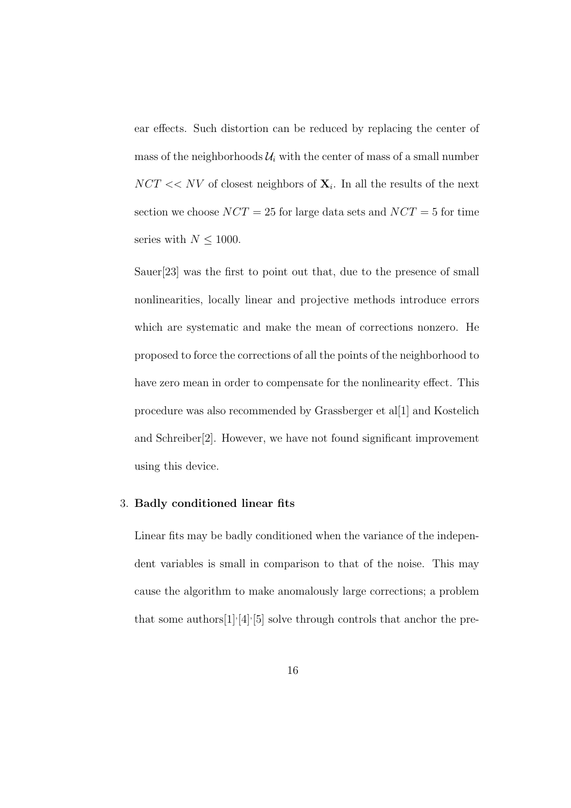ear effects. Such distortion can be reduced by replacing the center of mass of the neighborhoods  $\mathcal{U}_i$  with the center of mass of a small number  $NCT \ll NV$  of closest neighbors of  $\mathbf{X}_i$ . In all the results of the next section we choose  $NCT = 25$  for large data sets and  $NCT = 5$  for time series with  $N \leq 1000$ .

Sauer[23] was the first to point out that, due to the presence of small nonlinearities, locally linear and projective methods introduce errors which are systematic and make the mean of corrections nonzero. He proposed to force the corrections of all the points of the neighborhood to have zero mean in order to compensate for the nonlinearity effect. This procedure was also recommended by Grassberger et al[1] and Kostelich and Schreiber[2]. However, we have not found significant improvement using this device.

#### 3. Badly conditioned linear fits

Linear fits may be badly conditioned when the variance of the independent variables is small in comparison to that of the noise. This may cause the algorithm to make anomalously large corrections; a problem that some authors  $[1]$ ,  $[4]$ ,  $[5]$  solve through controls that anchor the pre-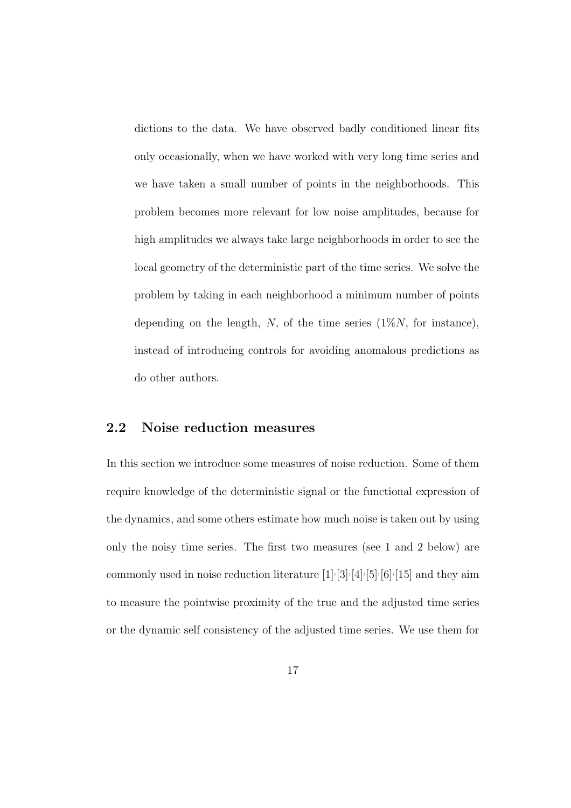dictions to the data. We have observed badly conditioned linear fits only occasionally, when we have worked with very long time series and we have taken a small number of points in the neighborhoods. This problem becomes more relevant for low noise amplitudes, because for high amplitudes we always take large neighborhoods in order to see the local geometry of the deterministic part of the time series. We solve the problem by taking in each neighborhood a minimum number of points depending on the length, N, of the time series  $(1\%)N$ , for instance), instead of introducing controls for avoiding anomalous predictions as do other authors.

#### 2.2 Noise reduction measures

In this section we introduce some measures of noise reduction. Some of them require knowledge of the deterministic signal or the functional expression of the dynamics, and some others estimate how much noise is taken out by using only the noisy time series. The first two measures (see 1 and 2 below) are commonly used in noise reduction literature  $[1] \cdot [3] \cdot [4] \cdot [5] \cdot [6] \cdot [15]$  and they aim to measure the pointwise proximity of the true and the adjusted time series or the dynamic self consistency of the adjusted time series. We use them for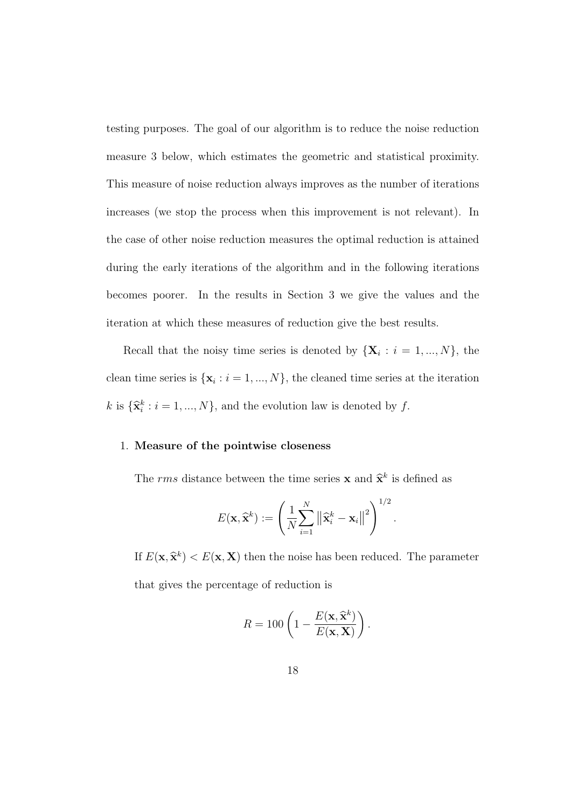testing purposes. The goal of our algorithm is to reduce the noise reduction measure 3 below, which estimates the geometric and statistical proximity. This measure of noise reduction always improves as the number of iterations increases (we stop the process when this improvement is not relevant). In the case of other noise reduction measures the optimal reduction is attained during the early iterations of the algorithm and in the following iterations becomes poorer. In the results in Section 3 we give the values and the iteration at which these measures of reduction give the best results.

Recall that the noisy time series is denoted by  $\{X_i : i = 1, ..., N\}$ , the clean time series is  $\{x_i : i = 1, ..., N\}$ , the cleaned time series at the iteration k is  $\{\hat{\mathbf{x}}_i^k : i = 1, ..., N\}$ , and the evolution law is denoted by f.

#### 1. Measure of the pointwise closeness

The rms distance between the time series **x** and  $\hat{\mathbf{x}}^k$  is defined as

$$
E(\mathbf{x}, \widehat{\mathbf{x}}^k) := \left(\frac{1}{N} \sum_{i=1}^N \left\|\widehat{\mathbf{x}}_i^k - \mathbf{x}_i\right\|^2\right)^{1/2}.
$$

If  $E(\mathbf{x}, \hat{\mathbf{x}}^k) < E(\mathbf{x}, \mathbf{X})$  then the noise has been reduced. The parameter that gives the percentage of reduction is

$$
R = 100 \left( 1 - \frac{E(\mathbf{x}, \widehat{\mathbf{x}}^k)}{E(\mathbf{x}, \mathbf{X})} \right).
$$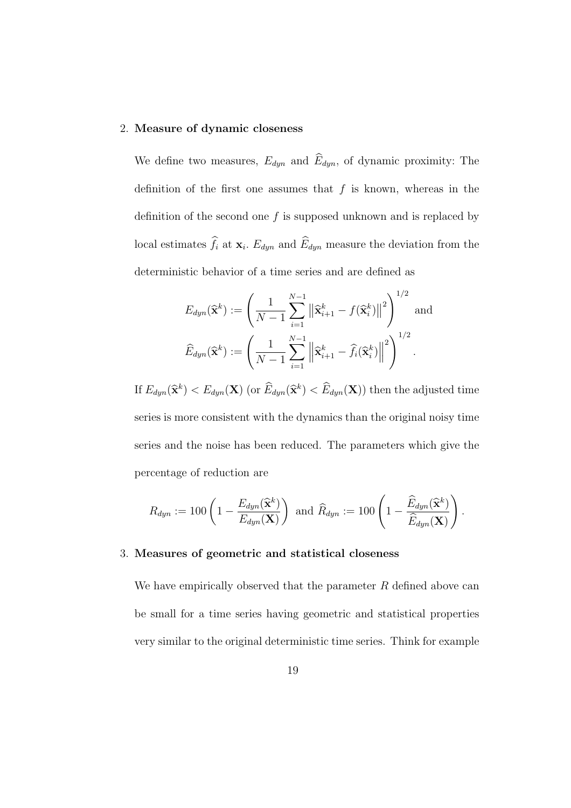#### 2. Measure of dynamic closeness

We define two measures,  $E_{dyn}$  and  $\widehat{E}_{dyn}$ , of dynamic proximity: The definition of the first one assumes that  $f$  is known, whereas in the definition of the second one  $f$  is supposed unknown and is replaced by local estimates  $\widehat{f}_i$  at  $\mathbf{x}_i$ .  $E_{dyn}$  and  $\widehat{E}_{dyn}$  measure the deviation from the deterministic behavior of a time series and are defined as

$$
E_{dyn}(\widehat{\mathbf{x}}^k) := \left(\frac{1}{N-1} \sum_{i=1}^{N-1} \left\|\widehat{\mathbf{x}}_{i+1}^k - f(\widehat{\mathbf{x}}_i^k)\right\|^2\right)^{1/2} \text{ and}
$$
  

$$
\widehat{E}_{dyn}(\widehat{\mathbf{x}}^k) := \left(\frac{1}{N-1} \sum_{i=1}^{N-1} \left\|\widehat{\mathbf{x}}_{i+1}^k - \widehat{f}_i(\widehat{\mathbf{x}}_i^k)\right\|^2\right)^{1/2}.
$$

If  $E_{dyn}(\hat{\mathbf{x}}^k) < E_{dyn}(\mathbf{X})$  (or  $\widehat{E}_{dyn}(\hat{\mathbf{x}}^k) < \widehat{E}_{dyn}(\mathbf{X})$ ) then the adjusted time series is more consistent with the dynamics than the original noisy time series and the noise has been reduced. The parameters which give the percentage of reduction are

$$
R_{dyn}:=100\left(1-\frac{E_{dyn}(\widehat{\mathbf{x}}^k)}{E_{dyn}(\mathbf{X})}\right) \text{ and } \widehat{R}_{dyn}:=100\left(1-\frac{\widehat{E}_{dyn}(\widehat{\mathbf{x}}^k)}{\widehat{E}_{dyn}(\mathbf{X})}\right).
$$

#### 3. Measures of geometric and statistical closeness

We have empirically observed that the parameter  $R$  defined above can be small for a time series having geometric and statistical properties very similar to the original deterministic time series. Think for example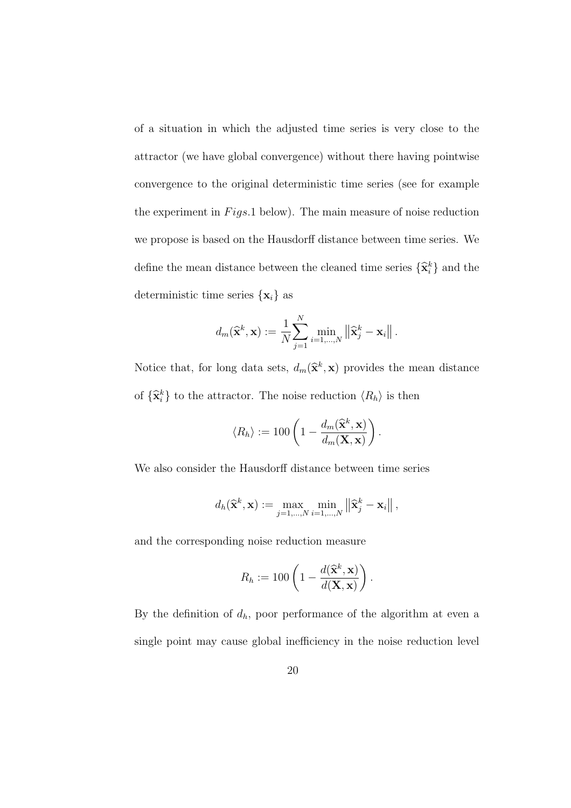of a situation in which the adjusted time series is very close to the attractor (we have global convergence) without there having pointwise convergence to the original deterministic time series (see for example the experiment in  $Figs. 1$  below). The main measure of noise reduction we propose is based on the Hausdorff distance between time series. We define the mean distance between the cleaned time series  $\{\hat{\mathbf{x}}_i^k\}$  and the deterministic time series  $\{x_i\}$  as

$$
d_m(\widehat{\mathbf{x}}^k, \mathbf{x}) := \frac{1}{N} \sum_{j=1}^N \min_{i=1,\dots,N} \left\| \widehat{\mathbf{x}}_j^k - \mathbf{x}_i \right\|.
$$

Notice that, for long data sets,  $d_m(\hat{\mathbf{x}}^k, \mathbf{x})$  provides the mean distance of  $\{\hat{\mathbf{x}}_i^k\}$  to the attractor. The noise reduction  $\langle R_h \rangle$  is then

$$
\langle R_h \rangle := 100 \left( 1 - \frac{d_m(\widehat{\mathbf{x}}^k, \mathbf{x})}{d_m(\mathbf{X}, \mathbf{x})} \right).
$$

We also consider the Hausdorff distance between time series

$$
d_h(\widehat{\mathbf{x}}^k, \mathbf{x}) := \max_{j=1,\dots,N} \min_{i=1,\dots,N} \left\| \widehat{\mathbf{x}}^k_j - \mathbf{x}_i \right\|,
$$

and the corresponding noise reduction measure

$$
R_h := 100 \left( 1 - \frac{d(\widehat{\mathbf{x}}^k, \mathbf{x})}{d(\mathbf{X}, \mathbf{x})} \right).
$$

By the definition of  $d_h$ , poor performance of the algorithm at even a single point may cause global inefficiency in the noise reduction level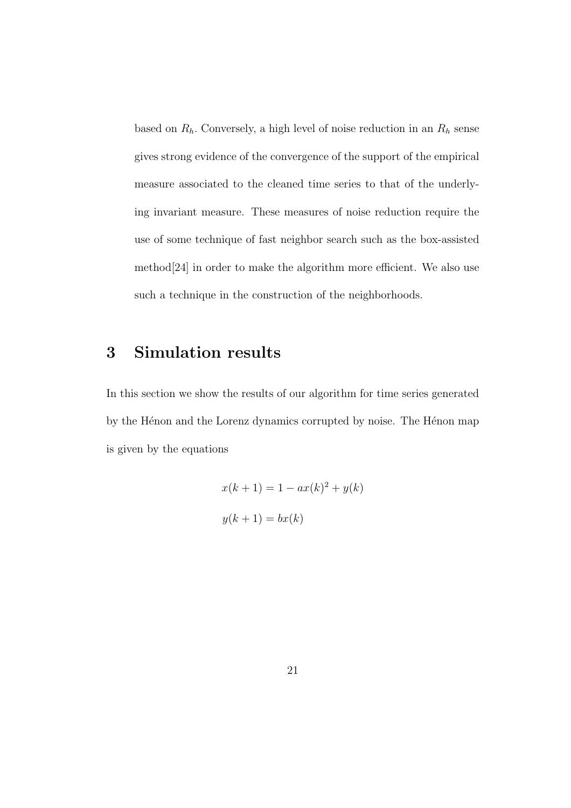based on  $R_h$ . Conversely, a high level of noise reduction in an  $R_h$  sense gives strong evidence of the convergence of the support of the empirical measure associated to the cleaned time series to that of the underlying invariant measure. These measures of noise reduction require the use of some technique of fast neighbor search such as the box-assisted method[24] in order to make the algorithm more efficient. We also use such a technique in the construction of the neighborhoods.

## 3 Simulation results

In this section we show the results of our algorithm for time series generated by the Hénon and the Lorenz dynamics corrupted by noise. The Hénon map is given by the equations

$$
x(k+1) = 1 - ax(k)2 + y(k)
$$

$$
y(k+1) = bx(k)
$$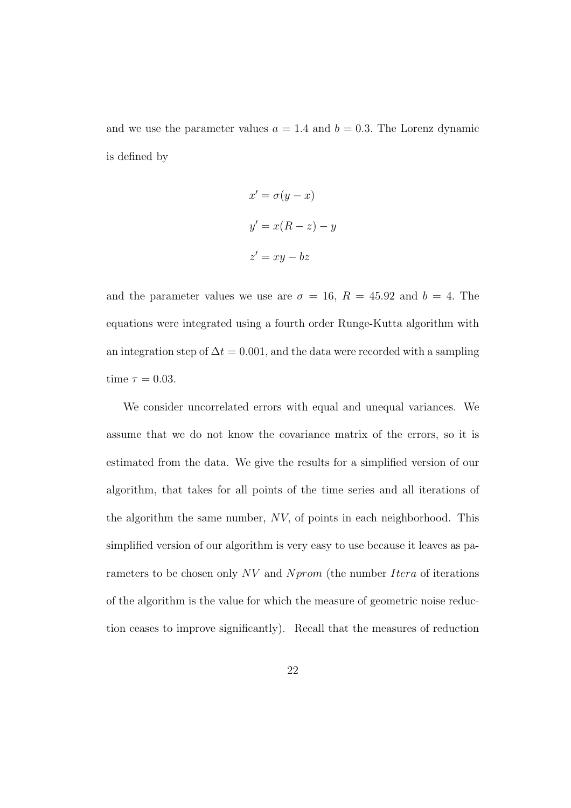and we use the parameter values  $a = 1.4$  and  $b = 0.3$ . The Lorenz dynamic is defined by

$$
x' = \sigma(y - x)
$$

$$
y' = x(R - z) - y
$$

$$
z' = xy - bz
$$

and the parameter values we use are  $\sigma = 16$ ,  $R = 45.92$  and  $b = 4$ . The equations were integrated using a fourth order Runge-Kutta algorithm with an integration step of  $\Delta t = 0.001$ , and the data were recorded with a sampling time  $\tau = 0.03$ .

We consider uncorrelated errors with equal and unequal variances. We assume that we do not know the covariance matrix of the errors, so it is estimated from the data. We give the results for a simplified version of our algorithm, that takes for all points of the time series and all iterations of the algorithm the same number, NV, of points in each neighborhood. This simplified version of our algorithm is very easy to use because it leaves as parameters to be chosen only NV and Nprom (the number Itera of iterations of the algorithm is the value for which the measure of geometric noise reduction ceases to improve significantly). Recall that the measures of reduction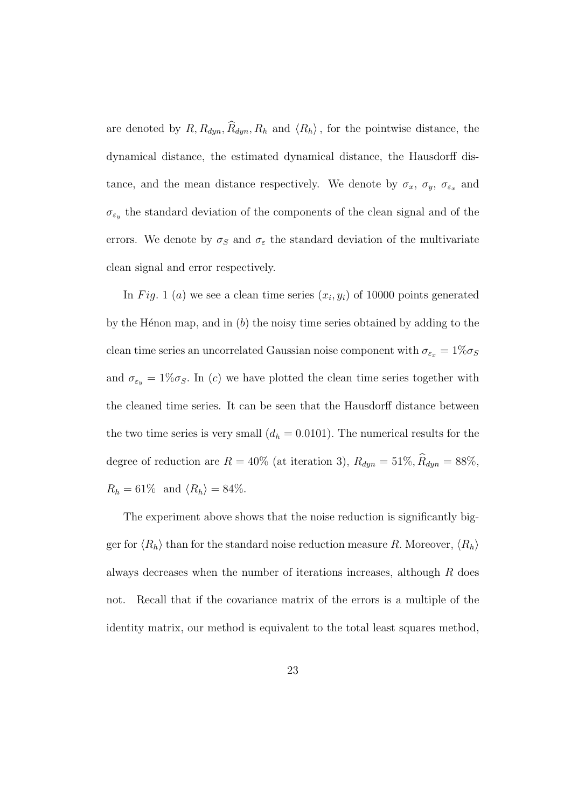are denoted by  $R, R_{dyn}, \hat{R}_{dyn}, R_h$  and  $\langle R_h \rangle$ , for the pointwise distance, the dynamical distance, the estimated dynamical distance, the Hausdorff distance, and the mean distance respectively. We denote by  $\sigma_x$ ,  $\sigma_y$ ,  $\sigma_{\varepsilon_x}$  and  $\sigma_{\varepsilon_y}$  the standard deviation of the components of the clean signal and of the errors. We denote by  $\sigma_S$  and  $\sigma_{\varepsilon}$  the standard deviation of the multivariate clean signal and error respectively.

In Fig. 1 (a) we see a clean time series  $(x_i, y_i)$  of 10000 points generated by the H $\acute{e}$ non map, and in (b) the noisy time series obtained by adding to the clean time series an uncorrelated Gaussian noise component with  $\sigma_{\varepsilon_x} = 1\% \sigma_S$ and  $\sigma_{\varepsilon_y} = 1\% \sigma_S$ . In (c) we have plotted the clean time series together with the cleaned time series. It can be seen that the Hausdorff distance between the two time series is very small  $(d_h = 0.0101)$ . The numerical results for the degree of reduction are  $R = 40\%$  (at iteration 3),  $R_{dyn} = 51\%, \hat{R}_{dyn} = 88\%,$  $R_h = 61\%$  and  $\langle R_h \rangle = 84\%.$ 

The experiment above shows that the noise reduction is significantly bigger for  $\langle R_h \rangle$  than for the standard noise reduction measure R. Moreover,  $\langle R_h \rangle$ always decreases when the number of iterations increases, although R does not. Recall that if the covariance matrix of the errors is a multiple of the identity matrix, our method is equivalent to the total least squares method,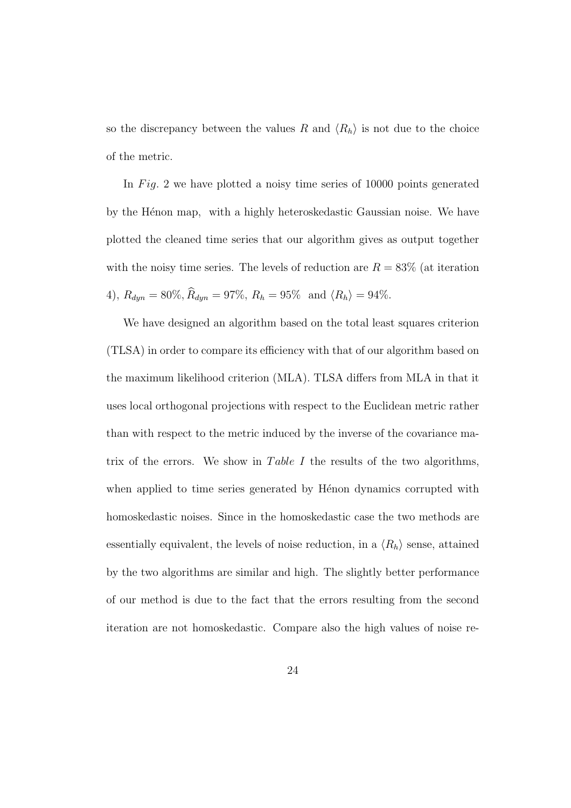so the discrepancy between the values R and  $\langle R_h \rangle$  is not due to the choice of the metric.

In Fig. 2 we have plotted a noisy time series of  $10000$  points generated by the Hénon map, with a highly heteroskedastic Gaussian noise. We have plotted the cleaned time series that our algorithm gives as output together with the noisy time series. The levels of reduction are  $R = 83\%$  (at iteration 4),  $R_{dyn} = 80\%, \hat{R}_{dyn} = 97\%, R_h = 95\%$  and  $\langle R_h \rangle = 94\%.$ 

We have designed an algorithm based on the total least squares criterion (TLSA) in order to compare its efficiency with that of our algorithm based on the maximum likelihood criterion (MLA). TLSA differs from MLA in that it uses local orthogonal projections with respect to the Euclidean metric rather than with respect to the metric induced by the inverse of the covariance matrix of the errors. We show in Table I the results of the two algorithms, when applied to time series generated by Henon dynamics corrupted with homoskedastic noises. Since in the homoskedastic case the two methods are essentially equivalent, the levels of noise reduction, in a  $\langle R_h \rangle$  sense, attained by the two algorithms are similar and high. The slightly better performance of our method is due to the fact that the errors resulting from the second iteration are not homoskedastic. Compare also the high values of noise re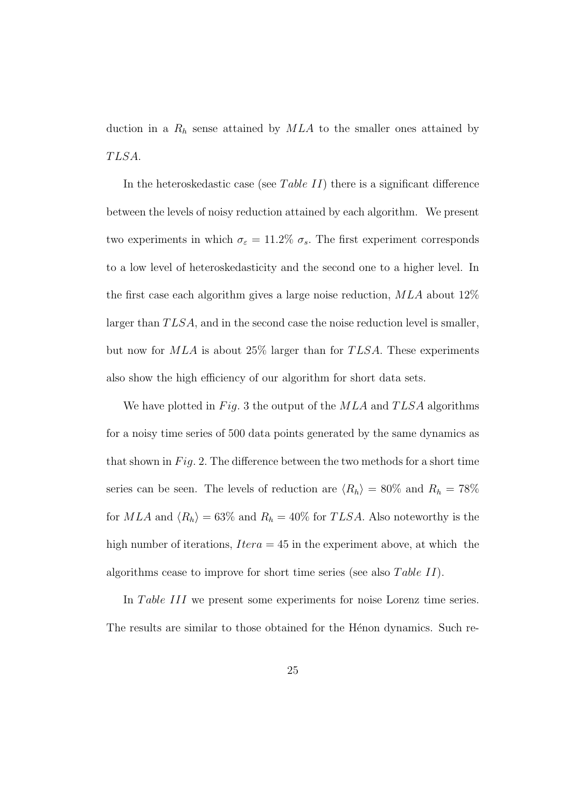duction in a  $R_h$  sense attained by  $MLA$  to the smaller ones attained by TLSA.

In the heteroskedastic case (see Table II) there is a significant difference between the levels of noisy reduction attained by each algorithm. We present two experiments in which  $\sigma_{\varepsilon} = 11.2\% \sigma_s$ . The first experiment corresponds to a low level of heteroskedasticity and the second one to a higher level. In the first case each algorithm gives a large noise reduction,  $MLA$  about  $12\%$ larger than  $TLSA$ , and in the second case the noise reduction level is smaller, but now for  $MLA$  is about 25% larger than for  $TLSA$ . These experiments also show the high efficiency of our algorithm for short data sets.

We have plotted in Fig. 3 the output of the  $MLA$  and  $TLSA$  algorithms for a noisy time series of 500 data points generated by the same dynamics as that shown in  $Fig. 2$ . The difference between the two methods for a short time series can be seen. The levels of reduction are  $\langle R_h \rangle = 80\%$  and  $R_h = 78\%$ for  $MLA$  and  $\langle R_h \rangle = 63\%$  and  $R_h = 40\%$  for TLSA. Also noteworthy is the high number of iterations,  $Itera = 45$  in the experiment above, at which the algorithms cease to improve for short time series (see also Table II).

In Table III we present some experiments for noise Lorenz time series. The results are similar to those obtained for the Hénon dynamics. Such re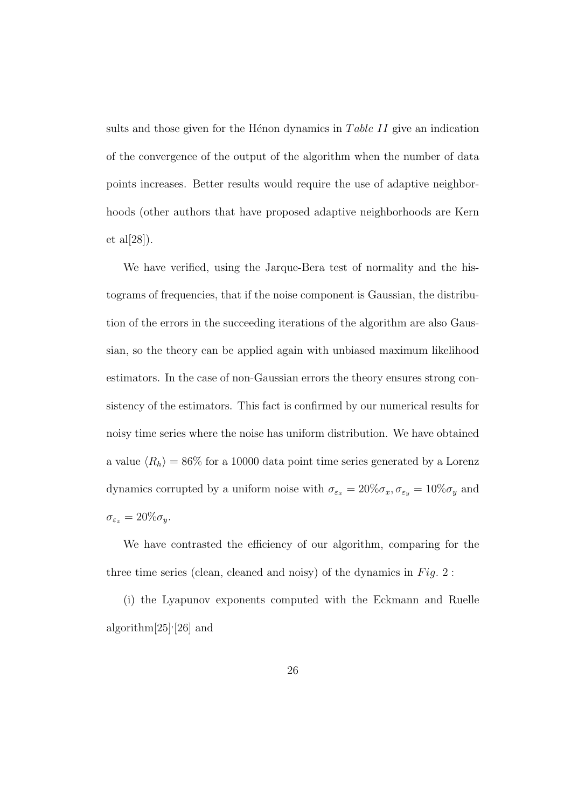sults and those given for the H $\epsilon$ non dynamics in Table II give an indication of the convergence of the output of the algorithm when the number of data points increases. Better results would require the use of adaptive neighborhoods (other authors that have proposed adaptive neighborhoods are Kern et al $[28]$ ).

We have verified, using the Jarque-Bera test of normality and the histograms of frequencies, that if the noise component is Gaussian, the distribution of the errors in the succeeding iterations of the algorithm are also Gaussian, so the theory can be applied again with unbiased maximum likelihood estimators. In the case of non-Gaussian errors the theory ensures strong consistency of the estimators. This fact is confirmed by our numerical results for noisy time series where the noise has uniform distribution. We have obtained a value  $\langle R_h \rangle = 86\%$  for a 10000 data point time series generated by a Lorenz dynamics corrupted by a uniform noise with  $\sigma_{\varepsilon_x} = 20\% \sigma_x, \sigma_{\varepsilon_y} = 10\% \sigma_y$  and  $\sigma_{\varepsilon_z} = 20\% \sigma_y.$ 

We have contrasted the efficiency of our algorithm, comparing for the three time series (clean, cleaned and noisy) of the dynamics in  $Fig. 2$ :

(i) the Lyapunov exponents computed with the Eckmann and Ruelle algorithm[25], [26] and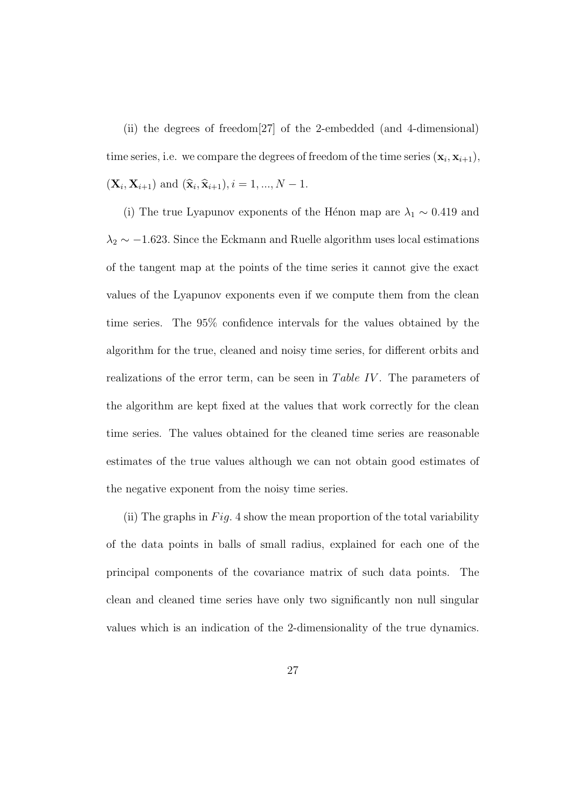(ii) the degrees of freedom[27] of the 2-embedded (and 4-dimensional) time series, i.e. we compare the degrees of freedom of the time series  $(\mathbf{x}_i, \mathbf{x}_{i+1}),$  $(X_i, X_{i+1})$  and  $(\hat{x}_i, \hat{x}_{i+1}), i = 1, ..., N - 1$ .

(i) The true Lyapunov exponents of the Hénon map are  $\lambda_1 \sim 0.419$  and  $\lambda_2 \sim -1.623$ . Since the Eckmann and Ruelle algorithm uses local estimations of the tangent map at the points of the time series it cannot give the exact values of the Lyapunov exponents even if we compute them from the clean time series. The 95% confidence intervals for the values obtained by the algorithm for the true, cleaned and noisy time series, for different orbits and realizations of the error term, can be seen in Table IV. The parameters of the algorithm are kept fixed at the values that work correctly for the clean time series. The values obtained for the cleaned time series are reasonable estimates of the true values although we can not obtain good estimates of the negative exponent from the noisy time series.

(ii) The graphs in  $Fig. 4$  show the mean proportion of the total variability of the data points in balls of small radius, explained for each one of the principal components of the covariance matrix of such data points. The clean and cleaned time series have only two significantly non null singular values which is an indication of the 2-dimensionality of the true dynamics.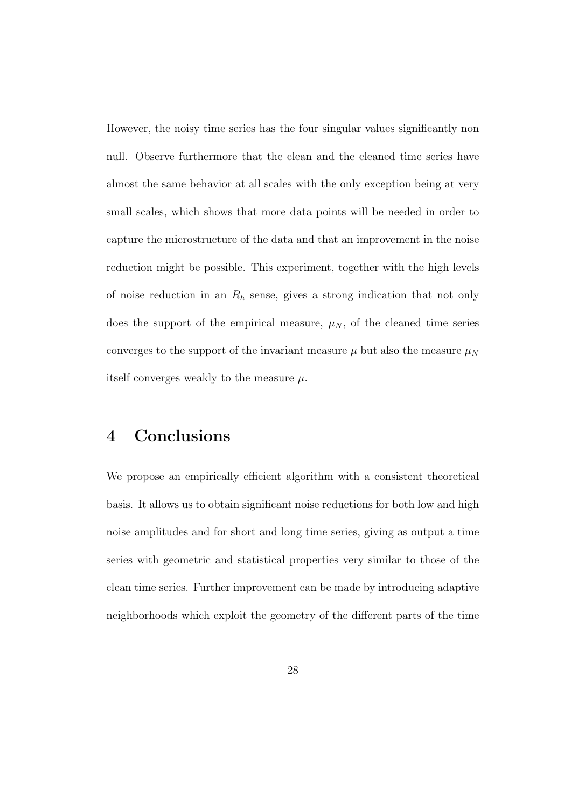However, the noisy time series has the four singular values significantly non null. Observe furthermore that the clean and the cleaned time series have almost the same behavior at all scales with the only exception being at very small scales, which shows that more data points will be needed in order to capture the microstructure of the data and that an improvement in the noise reduction might be possible. This experiment, together with the high levels of noise reduction in an  $R_h$  sense, gives a strong indication that not only does the support of the empirical measure,  $\mu_N$ , of the cleaned time series converges to the support of the invariant measure  $\mu$  but also the measure  $\mu<sub>N</sub>$ itself converges weakly to the measure  $\mu$ .

## 4 Conclusions

We propose an empirically efficient algorithm with a consistent theoretical basis. It allows us to obtain significant noise reductions for both low and high noise amplitudes and for short and long time series, giving as output a time series with geometric and statistical properties very similar to those of the clean time series. Further improvement can be made by introducing adaptive neighborhoods which exploit the geometry of the different parts of the time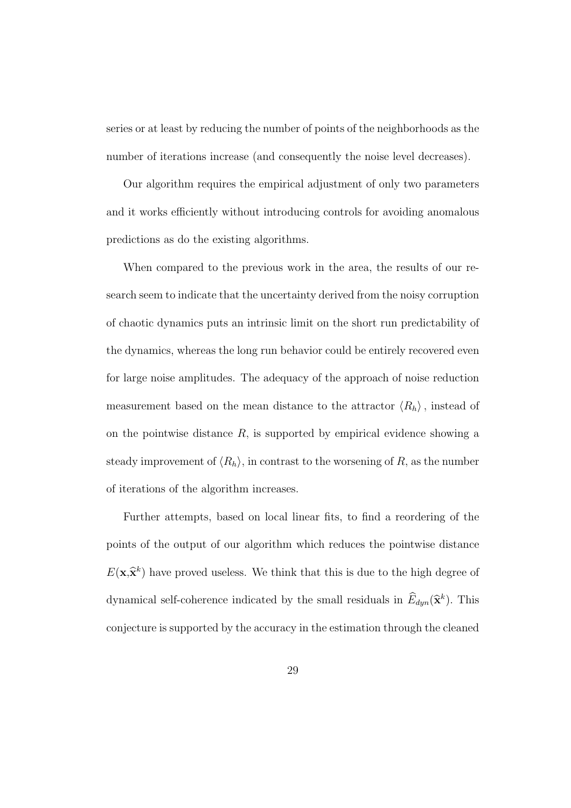series or at least by reducing the number of points of the neighborhoods as the number of iterations increase (and consequently the noise level decreases).

Our algorithm requires the empirical adjustment of only two parameters and it works efficiently without introducing controls for avoiding anomalous predictions as do the existing algorithms.

When compared to the previous work in the area, the results of our research seem to indicate that the uncertainty derived from the noisy corruption of chaotic dynamics puts an intrinsic limit on the short run predictability of the dynamics, whereas the long run behavior could be entirely recovered even for large noise amplitudes. The adequacy of the approach of noise reduction measurement based on the mean distance to the attractor  $\langle R_h \rangle$ , instead of on the pointwise distance  $R$ , is supported by empirical evidence showing a steady improvement of  $\langle R_h \rangle$ , in contrast to the worsening of R, as the number of iterations of the algorithm increases.

Further attempts, based on local linear fits, to find a reordering of the points of the output of our algorithm which reduces the pointwise distance  $E(\mathbf{x}, \hat{\mathbf{x}}^k)$  have proved useless. We think that this is due to the high degree of dynamical self-coherence indicated by the small residuals in  $\widehat{E}_{dyn}(\widehat{\mathbf{x}}^k)$ . This conjecture is supported by the accuracy in the estimation through the cleaned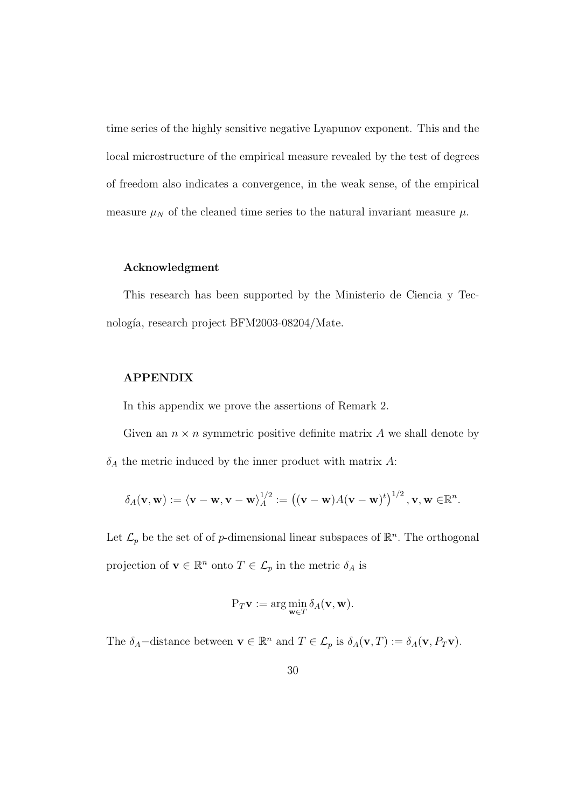time series of the highly sensitive negative Lyapunov exponent. This and the local microstructure of the empirical measure revealed by the test of degrees of freedom also indicates a convergence, in the weak sense, of the empirical measure  $\mu_N$  of the cleaned time series to the natural invariant measure  $\mu$ .

#### Acknowledgment

This research has been supported by the Ministerio de Ciencia y Tecnología, research project BFM2003-08204/Mate.

#### APPENDIX

In this appendix we prove the assertions of Remark 2.

Given an  $n \times n$  symmetric positive definite matrix A we shall denote by  $\delta_A$  the metric induced by the inner product with matrix A:

$$
\delta_A(\mathbf{v},\mathbf{w}) := \langle \mathbf{v} - \mathbf{w}, \mathbf{v} - \mathbf{w} \rangle_A^{1/2} := \left( (\mathbf{v} - \mathbf{w}) A(\mathbf{v} - \mathbf{w})^t \right)^{1/2}, \mathbf{v}, \mathbf{w} \in \mathbb{R}^n.
$$

Let  $\mathcal{L}_p$  be the set of of p-dimensional linear subspaces of  $\mathbb{R}^n$ . The orthogonal projection of  $\mathbf{v} \in \mathbb{R}^n$  onto  $T \in \mathcal{L}_p$  in the metric  $\delta_A$  is

$$
P_T \mathbf{v} := \arg\min_{\mathbf{w} \in T} \delta_A(\mathbf{v}, \mathbf{w}).
$$

The  $\delta_A$ -distance between  $\mathbf{v} \in \mathbb{R}^n$  and  $T \in \mathcal{L}_p$  is  $\delta_A(\mathbf{v}, T) := \delta_A(\mathbf{v}, P_T \mathbf{v})$ .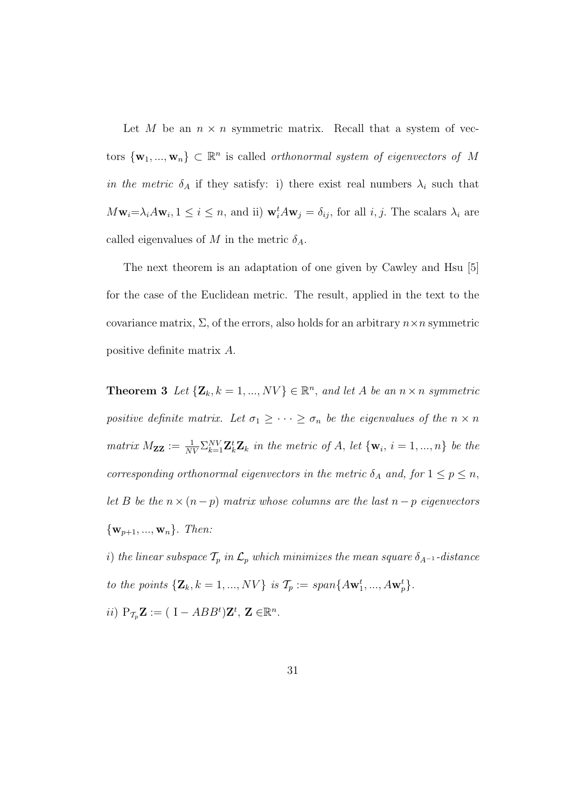Let M be an  $n \times n$  symmetric matrix. Recall that a system of vectors  $\{w_1, ..., w_n\} \subset \mathbb{R}^n$  is called *orthonormal system of eigenvectors of* M in the metric  $\delta_A$  if they satisfy: i) there exist real numbers  $\lambda_i$  such that  $M_{\mathbf{W}_i} = \lambda_i A_{\mathbf{W}_i}, 1 \leq i \leq n$ , and ii)  $\mathbf{w}_i^t A_{\mathbf{W}_j} = \delta_{ij}$ , for all  $i, j$ . The scalars  $\lambda_i$  are called eigenvalues of M in the metric  $\delta_A$ .

The next theorem is an adaptation of one given by Cawley and Hsu [5] for the case of the Euclidean metric. The result, applied in the text to the covariance matrix,  $\Sigma$ , of the errors, also holds for an arbitrary  $n \times n$  symmetric positive definite matrix A.

**Theorem 3** Let  ${\mathbf{Z}_k, k = 1, ..., NV} \in \mathbb{R}^n$ , and let A be an  $n \times n$  symmetric positive definite matrix. Let  $\sigma_1 \geq \cdots \geq \sigma_n$  be the eigenvalues of the  $n \times n$ matrix  $M_{ZZ} := \frac{1}{NV} \sum_{k=1}^{NV} \mathbf{Z}_k^t \mathbf{Z}_k$  in the metric of A, let  $\{\mathbf{w}_i, i = 1, ..., n\}$  be the corresponding orthonormal eigenvectors in the metric  $\delta_A$  and, for  $1 \leq p \leq n$ , let B be the  $n \times (n-p)$  matrix whose columns are the last  $n-p$  eigenvectors  $\{w_{p+1}, ..., w_n\}$ . Then:

i) the linear subspace  $\mathcal{T}_p$  in  $\mathcal{L}_p$  which minimizes the mean square  $\delta_{A^{-1}}$ -distance to the points  $\{Z_k, k = 1, ..., NV\}$  is  $\mathcal{T}_p := span\{Aw_1^t, ..., Aw_p^t\}.$ 

ii)  $P_{\mathcal{T}_p} \mathbf{Z} := (I - ABB^t) \mathbf{Z}^t, \mathbf{Z} \in \mathbb{R}^n$ .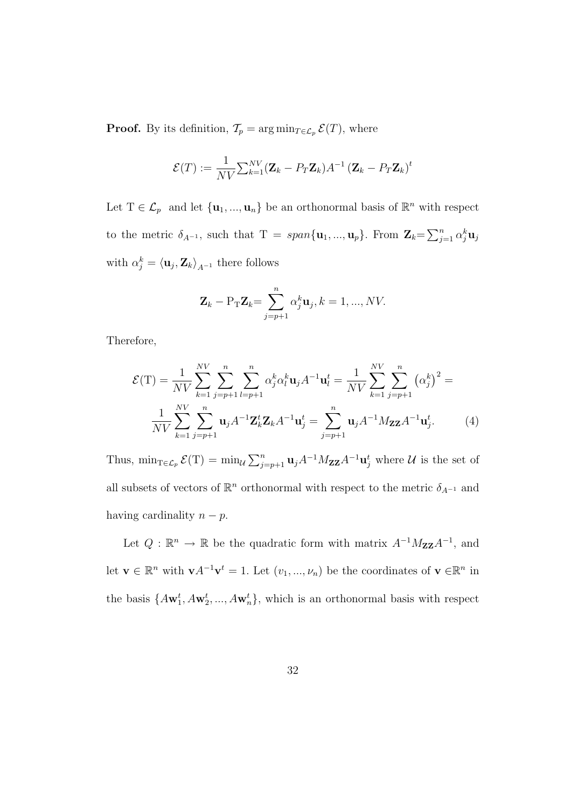**Proof.** By its definition,  $\mathcal{T}_p = \arg \min_{T \in \mathcal{L}_p} \mathcal{E}(T)$ , where

$$
\mathcal{E}(T) := \frac{1}{NV} \sum_{k=1}^{NV} (\mathbf{Z}_k - P_T \mathbf{Z}_k) A^{-1} (\mathbf{Z}_k - P_T \mathbf{Z}_k)^t
$$

Let  $T \in \mathcal{L}_p$  and let  $\{\mathbf{u}_1, ..., \mathbf{u}_n\}$  be an orthonormal basis of  $\mathbb{R}^n$  with respect to the metric  $\delta_{A^{-1}}$ , such that  $T = span{\mathbf{u}_1, ..., \mathbf{u}_p}$ . From  $\mathbf{Z}_k = \sum_{i=1}^n \mathbf{Z}_i$  $_{j=1}^n\,\alpha_j^k\mathbf{u}_j$ with  $\alpha_j^k = \langle \mathbf{u}_j, \mathbf{Z}_k \rangle_{A^{-1}}$  there follows

$$
\mathbf{Z}_k - \mathrm{P}_{\mathrm{T}} \mathbf{Z}_k = \sum_{j=p+1}^n \alpha_j^k \mathbf{u}_j, k = 1, ..., NV.
$$

Therefore,

$$
\mathcal{E}(\mathbf{T}) = \frac{1}{NV} \sum_{k=1}^{NV} \sum_{j=p+1}^{n} \sum_{l=p+1}^{n} \alpha_j^k \alpha_l^k \mathbf{u}_j A^{-1} \mathbf{u}_l^t = \frac{1}{NV} \sum_{k=1}^{NV} \sum_{j=p+1}^{n} (\alpha_j^k)^2 = \frac{1}{NV} \sum_{k=1}^{NV} \sum_{j=p+1}^{n} \mathbf{u}_j A^{-1} \mathbf{Z}_k^t \mathbf{Z}_k A^{-1} \mathbf{u}_j^t = \sum_{j=p+1}^{n} \mathbf{u}_j A^{-1} M_{\mathbf{Z} \mathbf{Z}} A^{-1} \mathbf{u}_j^t.
$$
 (4)

Thus,  $\min_{\mathcal{T} \in \mathcal{L}_p} \mathcal{E}(\mathcal{T}) = \min_{\mathcal{U}}$  $\sum_{j=p+1}^{n} \mathbf{u}_{j} A^{-1} M_{\mathbf{Z} \mathbf{Z}} A^{-1} \mathbf{u}_{j}^{t}$  where  $\mathcal{U}$  is the set of all subsets of vectors of  $\mathbb{R}^n$  orthonormal with respect to the metric  $\delta_{A^{-1}}$  and having cardinality  $n - p$ .

Let  $Q : \mathbb{R}^n \to \mathbb{R}$  be the quadratic form with matrix  $A^{-1}M_{\mathbf{ZZ}}A^{-1}$ , and let  $\mathbf{v} \in \mathbb{R}^n$  with  $\mathbf{v} A^{-1} \mathbf{v}^t = 1$ . Let  $(v_1, ..., v_n)$  be the coordinates of  $\mathbf{v} \in \mathbb{R}^n$  in the basis  $\{A\mathbf{w}_1^t, A\mathbf{w}_2^t, ..., A\mathbf{w}_n^t\}$ , which is an orthonormal basis with respect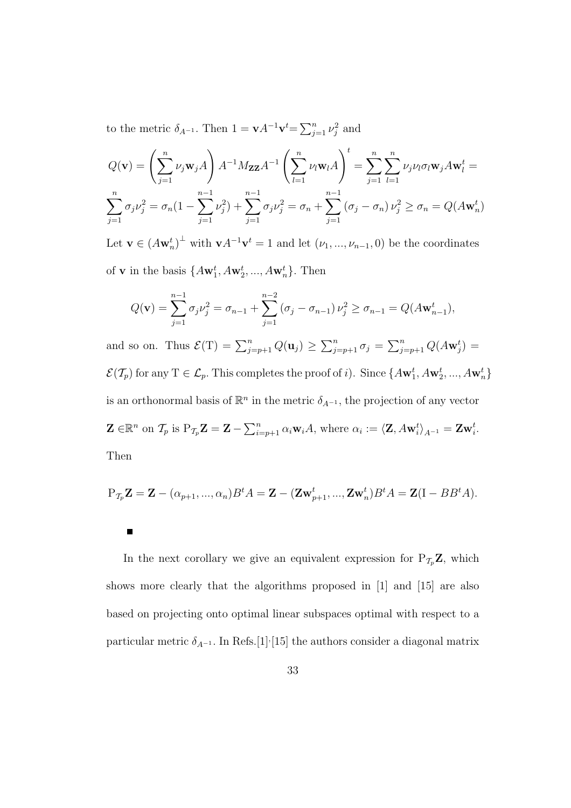to the metric  $\delta_{A^{-1}}$ . Then  $1 = \mathbf{v} A^{-1} \mathbf{v}^t = \sum_{i=1}^n$  $\sum_{j=1}^n \nu_j^2$  and

$$
Q(\mathbf{v}) = \left(\sum_{j=1}^{n} \nu_j \mathbf{w}_j A\right) A^{-1} M_{\mathbf{Z} \mathbf{Z}} A^{-1} \left(\sum_{l=1}^{n} \nu_l \mathbf{w}_l A\right)^t = \sum_{j=1}^{n} \sum_{l=1}^{n} \nu_j \nu_l \sigma_l \mathbf{w}_j A \mathbf{w}_l^t =
$$

$$
\sum_{j=1}^{n} \sigma_j \nu_j^2 = \sigma_n (1 - \sum_{j=1}^{n-1} \nu_j^2) + \sum_{j=1}^{n-1} \sigma_j \nu_j^2 = \sigma_n + \sum_{j=1}^{n-1} (\sigma_j - \sigma_n) \nu_j^2 \ge \sigma_n = Q(A \mathbf{w}_n^t)
$$

Let  $\mathbf{v} \in (A\mathbf{w}_n^t)^{\perp}$  with  $\mathbf{v}A^{-1}\mathbf{v}^t = 1$  and let  $(\nu_1, ..., \nu_{n-1}, 0)$  be the coordinates of **v** in the basis  $\{A\mathbf{w}_1^t, A\mathbf{w}_2^t, ..., A\mathbf{w}_n^t\}$ . Then

$$
Q(\mathbf{v}) = \sum_{j=1}^{n-1} \sigma_j \nu_j^2 = \sigma_{n-1} + \sum_{j=1}^{n-2} (\sigma_j - \sigma_{n-1}) \nu_j^2 \ge \sigma_{n-1} = Q(A\mathbf{w}_{n-1}^t),
$$

and so on. Thus  $\mathcal{E}(\mathbf{T}) = \sum_{j=p+1}^{n} Q(\mathbf{u}_j) \geq$  $\sum_{n}$  $\sum\limits_{j=p+1}^{n}\sigma_{j}=% {\textstyle\sum\nolimits_{j=p+1}^{\infty}} \sum\limits_{j=p+1}^{\infty}\sigma_{j}^{\ast}$  $\sum_{j=p+1}^{n} Q(A \mathbf{w}_j^t) =$  $\mathcal{E}(\mathcal{T}_p)$  for any  $T \in \mathcal{L}_p$ . This completes the proof of *i*). Since  $\{A\mathbf{w}_1^t, A\mathbf{w}_2^t, ..., A\mathbf{w}_n^t\}$ is an orthonormal basis of  $\mathbb{R}^n$  in the metric  $\delta_{A^{-1}}$ , the projection of any vector  $\mathbf{Z} \in \mathbb{R}^n$  on  $\mathcal{T}_p$  is  $P_{\mathcal{T}_p} \mathbf{Z} = \mathbf{Z} - \sum_{i=1}^n \mathcal{T}_i$  $\sum_{i=p+1}^{n} \alpha_i \mathbf{w}_i A$ , where  $\alpha_i := \langle \mathbf{Z}, A\mathbf{w}_i^t \rangle_{A^{-1}} = \mathbf{Z}\mathbf{w}_i^t$ . Then

$$
P_{\mathcal{T}_p}\mathbf{Z} = \mathbf{Z} - (\alpha_{p+1}, ..., \alpha_n)B^t A = \mathbf{Z} - (\mathbf{Z}\mathbf{w}_{p+1}^t, ..., \mathbf{Z}\mathbf{w}_n^t)B^t A = \mathbf{Z}(I - BB^t A).
$$

 $\blacksquare$ 

In the next corollary we give an equivalent expression for  $P_{\mathcal{T}_p} \mathbf{Z}$ , which shows more clearly that the algorithms proposed in [1] and [15] are also based on projecting onto optimal linear subspaces optimal with respect to a particular metric  $\delta_{A^{-1}}$ . In Refs.[1]<sup>,</sup>[15] the authors consider a diagonal matrix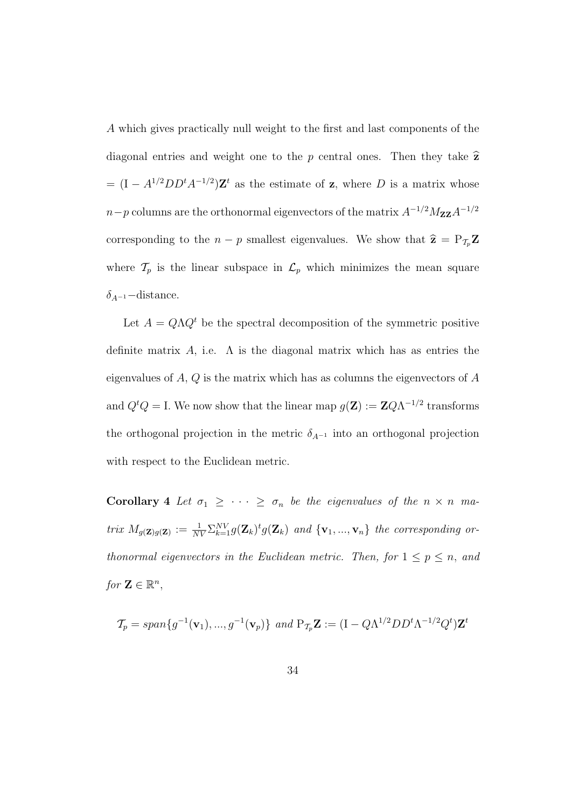A which gives practically null weight to the first and last components of the diagonal entries and weight one to the p central ones. Then they take  $\hat{z}$  $= (I - A^{1/2} D D^t A^{-1/2}) \mathbf{Z}^t$  as the estimate of  $\mathbf{z}$ , where D is a matrix whose  $n-p$  columns are the orthonormal eigenvectors of the matrix  $A^{-1/2}M_{\mathbf{ZZ}}A^{-1/2}$ corresponding to the  $n - p$  smallest eigenvalues. We show that  $\hat{\mathbf{z}} = P_{\mathcal{T}_p} \mathbf{Z}$ where  $\mathcal{T}_p$  is the linear subspace in  $\mathcal{L}_p$  which minimizes the mean square  $\delta_{A^{-1}}$ −distance.

Let  $A = Q\Lambda Q^t$  be the spectral decomposition of the symmetric positive definite matrix A, i.e.  $\Lambda$  is the diagonal matrix which has as entries the eigenvalues of  $A, Q$  is the matrix which has as columns the eigenvectors of  $A$ and  $Q^t Q = I$ . We now show that the linear map  $g(\mathbf{Z}) := \mathbf{Z} Q \Lambda^{-1/2}$  transforms the orthogonal projection in the metric  $\delta_{A^{-1}}$  into an orthogonal projection with respect to the Euclidean metric.

Corollary 4 Let  $\sigma_1 \geq \cdots \geq \sigma_n$  be the eigenvalues of the  $n \times n$  matrix  $M_{g(\mathbf{Z})g(\mathbf{Z})} := \frac{1}{NV} \sum_{k=1}^{NV} g(\mathbf{Z}_k)^t g(\mathbf{Z}_k)$  and  $\{\mathbf{v}_1, ..., \mathbf{v}_n\}$  the corresponding orthonormal eigenvectors in the Euclidean metric. Then, for  $1 \leq p \leq n$ , and for  $\mathbf{Z} \in \mathbb{R}^n$ ,

$$
\mathcal{T}_p = span\{g^{-1}(\mathbf{v}_1), ..., g^{-1}(\mathbf{v}_p)\} \ and \ P_{\mathcal{T}_p} \mathbf{Z} := (I - Q\Lambda^{1/2} D D^t \Lambda^{-1/2} Q^t) \mathbf{Z}^t
$$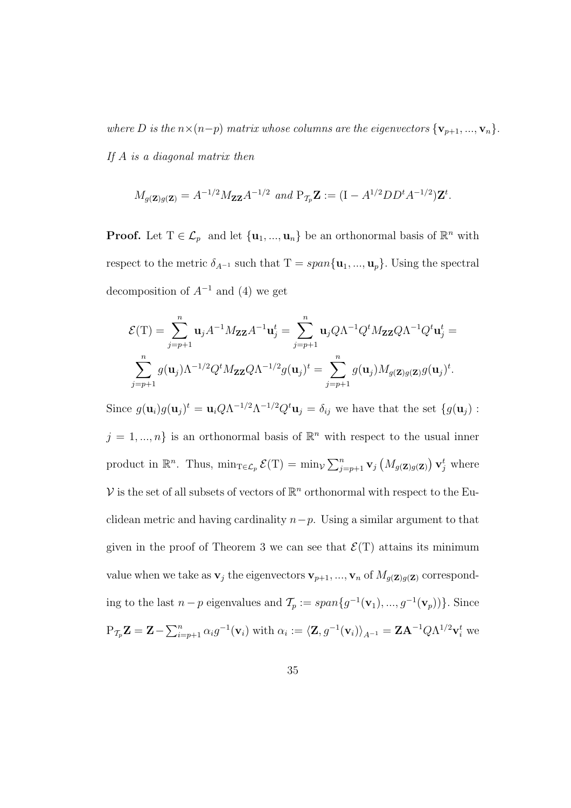where D is the  $n \times (n-p)$  matrix whose columns are the eigenvectors  $\{v_{p+1},...,v_n\}$ . If  $A$  is a diagonal matrix then

$$
M_{g(\mathbf{Z})g(\mathbf{Z})} = A^{-1/2} M_{\mathbf{Z} \mathbf{Z}} A^{-1/2}
$$
 and  $P_{\mathcal{T}_p} \mathbf{Z} := (I - A^{1/2} D D^t A^{-1/2}) \mathbf{Z}^t$ .

**Proof.** Let  $T \in \mathcal{L}_p$  and let  $\{u_1, ..., u_n\}$  be an orthonormal basis of  $\mathbb{R}^n$  with respect to the metric  $\delta_{A^{-1}}$  such that  $T = span{\mathbf{u}_1, ..., \mathbf{u}_p}$ . Using the spectral decomposition of  $A^{-1}$  and (4) we get

$$
\mathcal{E}(\mathbf{T}) = \sum_{j=p+1}^{n} \mathbf{u}_{j} A^{-1} M_{\mathbf{Z} \mathbf{Z}} A^{-1} \mathbf{u}_{j}^{t} = \sum_{j=p+1}^{n} \mathbf{u}_{j} Q \Lambda^{-1} Q^{t} M_{\mathbf{Z} \mathbf{Z}} Q \Lambda^{-1} Q^{t} \mathbf{u}_{j}^{t} =
$$

$$
\sum_{j=p+1}^{n} g(\mathbf{u}_{j}) \Lambda^{-1/2} Q^{t} M_{\mathbf{Z} \mathbf{Z}} Q \Lambda^{-1/2} g(\mathbf{u}_{j})^{t} = \sum_{j=p+1}^{n} g(\mathbf{u}_{j}) M_{g(\mathbf{Z})g(\mathbf{Z})} g(\mathbf{u}_{j})^{t}.
$$

Since  $g(\mathbf{u}_i)g(\mathbf{u}_j)^t = \mathbf{u}_i Q \Lambda^{-1/2} \Lambda^{-1/2} Q^t \mathbf{u}_j = \delta_{ij}$  we have that the set  $\{g(\mathbf{u}_j) :$  $j = 1, ..., n$  is an orthonormal basis of  $\mathbb{R}^n$  with respect to the usual inner product in  $\mathbb{R}^n$ . Thus,  $\min_{\mathcal{T} \in \mathcal{L}_p} \mathcal{E}(\mathcal{T}) = \min_{\mathcal{V}} \mathcal{E}(\mathcal{T})$  $\sum_{n}$  $\sum\limits_{j=p+1}^n \mathbf{v}_j$ ¡  $M_{g(\mathbf{Z})g(\mathbf{Z})}$ ¢  $\mathbf{v}_j^t$  where V is the set of all subsets of vectors of  $\mathbb{R}^n$  orthonormal with respect to the Euclidean metric and having cardinality  $n-p$ . Using a similar argument to that given in the proof of Theorem 3 we can see that  $\mathcal{E}(T)$  attains its minimum value when we take as  $\mathbf{v}_j$  the eigenvectors  $\mathbf{v}_{p+1},...,\mathbf{v}_n$  of  $M_{g(\mathbf{Z})g(\mathbf{Z})}$  corresponding to the last  $n-p$  eigenvalues and  $\mathcal{T}_p := span\{g^{-1}(\mathbf{v}_1), ..., g^{-1}(\mathbf{v}_p)\}\)$ . Since  $P_{\mathcal{T}_p}\mathbf{Z} = \mathbf{Z} \sum_{n}$  $\sum_{i=p+1}^n \alpha_i g^{-1}(\mathbf{v}_i)$  with  $\alpha_i := \langle \mathbf{Z}, g^{-1}(\mathbf{v}_i) \rangle_{A^{-1}} = \mathbf{Z} \mathbf{A}^{-1} Q \Lambda^{1/2} \mathbf{v}_i^t$  we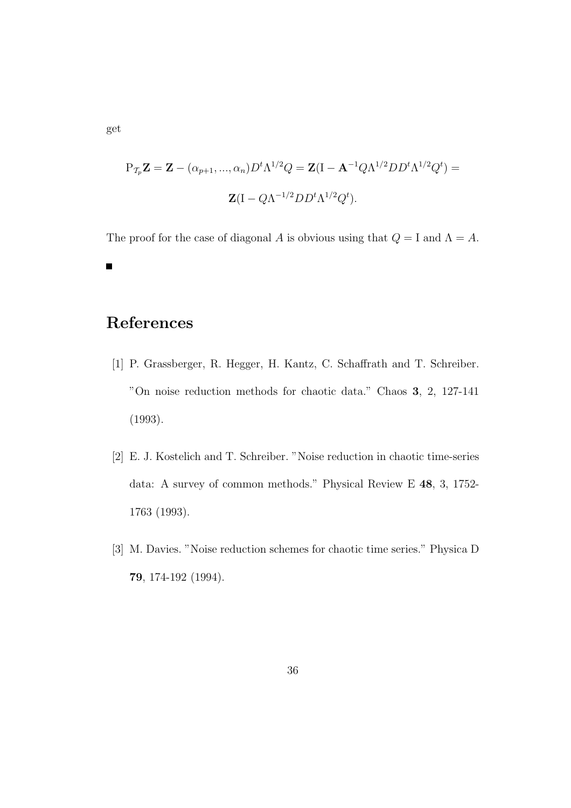$$
P_{\mathcal{T}_p} \mathbf{Z} = \mathbf{Z} - (\alpha_{p+1}, ..., \alpha_n) D^t \Lambda^{1/2} Q = \mathbf{Z} (I - \mathbf{A}^{-1} Q \Lambda^{1/2} D D^t \Lambda^{1/2} Q^t) =
$$

$$
\mathbf{Z} (I - Q \Lambda^{-1/2} D D^t \Lambda^{1/2} Q^t).
$$

The proof for the case of diagonal A is obvious using that  $Q = I$  and  $\Lambda = A$ .  $\blacksquare$ 

# References

- [1] P. Grassberger, R. Hegger, H. Kantz, C. Schaffrath and T. Schreiber. "On noise reduction methods for chaotic data." Chaos 3, 2, 127-141 (1993).
- [2] E. J. Kostelich and T. Schreiber. "Noise reduction in chaotic time-series data: A survey of common methods." Physical Review E 48, 3, 1752- 1763 (1993).
- [3] M. Davies. "Noise reduction schemes for chaotic time series." Physica D 79, 174-192 (1994).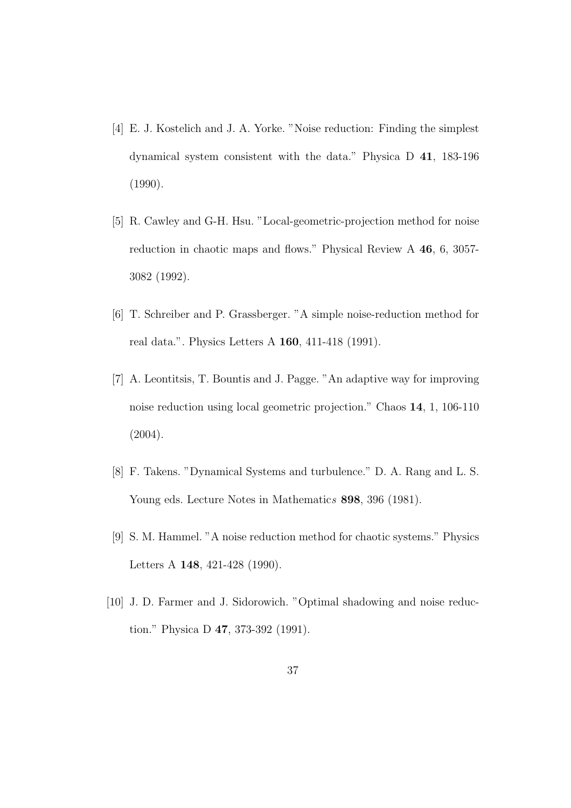- [4] E. J. Kostelich and J. A. Yorke. "Noise reduction: Finding the simplest dynamical system consistent with the data." Physica D 41, 183-196 (1990).
- [5] R. Cawley and G-H. Hsu. "Local-geometric-projection method for noise reduction in chaotic maps and flows." Physical Review A 46, 6, 3057- 3082 (1992).
- [6] T. Schreiber and P. Grassberger. "A simple noise-reduction method for real data.". Physics Letters A 160, 411-418 (1991).
- [7] A. Leontitsis, T. Bountis and J. Pagge. "An adaptive way for improving noise reduction using local geometric projection." Chaos 14, 1, 106-110 (2004).
- [8] F. Takens. "Dynamical Systems and turbulence." D. A. Rang and L. S. Young eds. Lecture Notes in Mathematics 898, 396 (1981).
- [9] S. M. Hammel. "A noise reduction method for chaotic systems." Physics Letters A 148, 421-428 (1990).
- [10] J. D. Farmer and J. Sidorowich. "Optimal shadowing and noise reduction." Physica D 47, 373-392 (1991).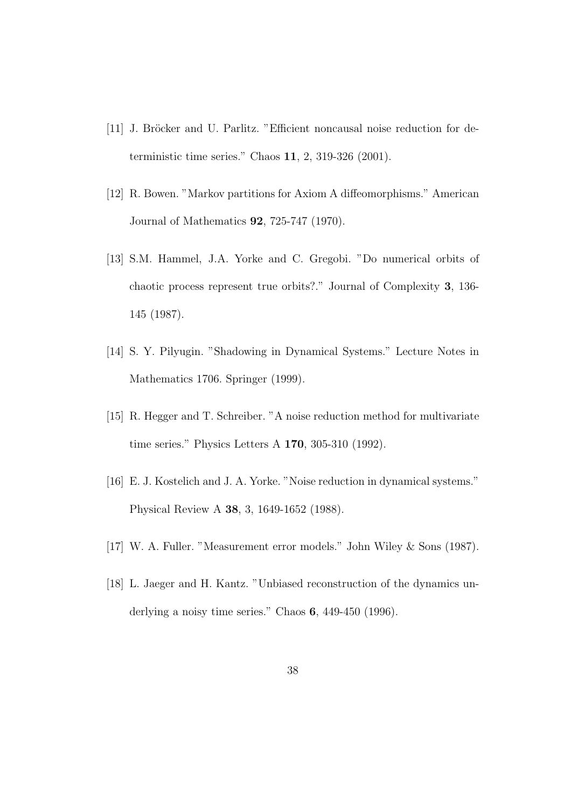- [11] J. Bröcker and U. Parlitz. "Efficient noncausal noise reduction for deterministic time series." Chaos 11, 2, 319-326 (2001).
- [12] R. Bowen. "Markov partitions for Axiom A diffeomorphisms." American Journal of Mathematics 92, 725-747 (1970).
- [13] S.M. Hammel, J.A. Yorke and C. Gregobi. "Do numerical orbits of chaotic process represent true orbits?." Journal of Complexity 3, 136- 145 (1987).
- [14] S. Y. Pilyugin. "Shadowing in Dynamical Systems." Lecture Notes in Mathematics 1706. Springer (1999).
- [15] R. Hegger and T. Schreiber. "A noise reduction method for multivariate time series." Physics Letters A 170, 305-310 (1992).
- [16] E. J. Kostelich and J. A. Yorke. "Noise reduction in dynamical systems." Physical Review A 38, 3, 1649-1652 (1988).
- [17] W. A. Fuller. "Measurement error models." John Wiley & Sons (1987).
- [18] L. Jaeger and H. Kantz. "Unbiased reconstruction of the dynamics underlying a noisy time series." Chaos 6, 449-450 (1996).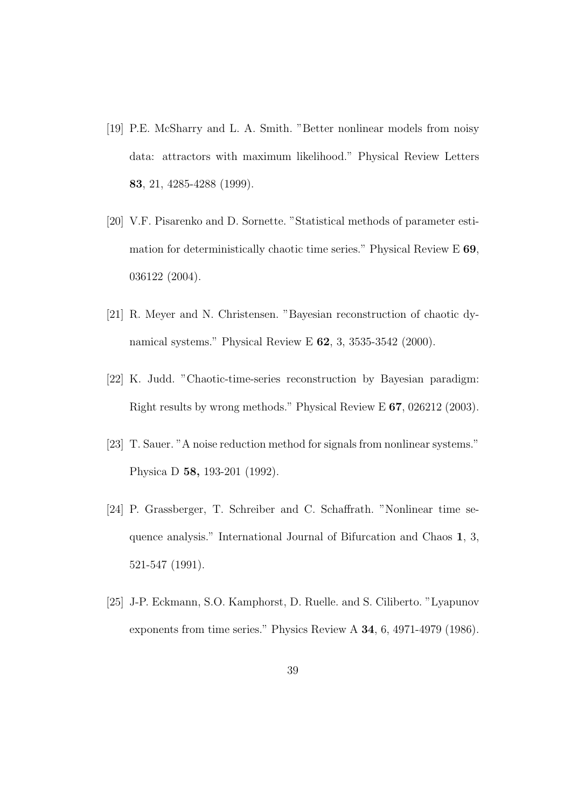- [19] P.E. McSharry and L. A. Smith. "Better nonlinear models from noisy data: attractors with maximum likelihood." Physical Review Letters 83, 21, 4285-4288 (1999).
- [20] V.F. Pisarenko and D. Sornette. "Statistical methods of parameter estimation for deterministically chaotic time series." Physical Review E 69, 036122 (2004).
- [21] R. Meyer and N. Christensen. "Bayesian reconstruction of chaotic dynamical systems." Physical Review E 62, 3, 3535-3542 (2000).
- [22] K. Judd. "Chaotic-time-series reconstruction by Bayesian paradigm: Right results by wrong methods." Physical Review E 67, 026212 (2003).
- [23] T. Sauer. "A noise reduction method for signals from nonlinear systems." Physica D 58, 193-201 (1992).
- [24] P. Grassberger, T. Schreiber and C. Schaffrath. "Nonlinear time sequence analysis." International Journal of Bifurcation and Chaos 1, 3, 521-547 (1991).
- [25] J-P. Eckmann, S.O. Kamphorst, D. Ruelle. and S. Ciliberto. "Lyapunov exponents from time series." Physics Review A 34, 6, 4971-4979 (1986).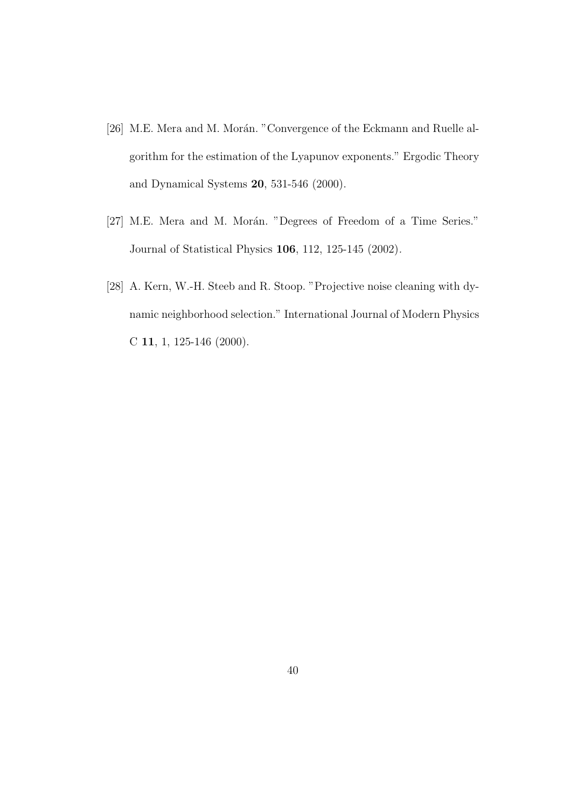- [26] M.E. Mera and M. Morán. "Convergence of the Eckmann and Ruelle algorithm for the estimation of the Lyapunov exponents." Ergodic Theory and Dynamical Systems 20, 531-546 (2000).
- [27] M.E. Mera and M. Morán. "Degrees of Freedom of a Time Series." Journal of Statistical Physics 106, 112, 125-145 (2002).
- [28] A. Kern, W.-H. Steeb and R. Stoop. "Projective noise cleaning with dynamic neighborhood selection." International Journal of Modern Physics C 11, 1, 125-146 (2000).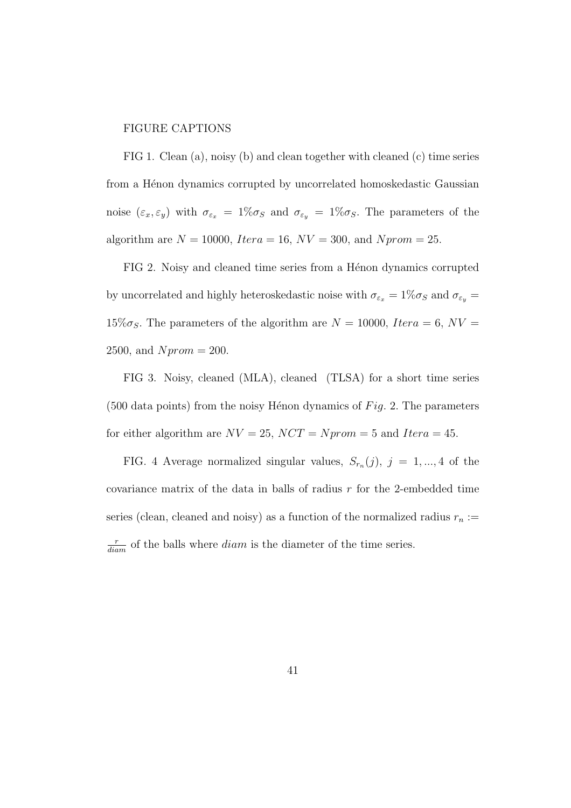#### FIGURE CAPTIONS

FIG 1. Clean (a), noisy (b) and clean together with cleaned (c) time series from a Hénon dynamics corrupted by uncorrelated homoskedastic Gaussian noise  $(\varepsilon_x, \varepsilon_y)$  with  $\sigma_{\varepsilon_x} = 1\% \sigma_S$  and  $\sigma_{\varepsilon_y} = 1\% \sigma_S$ . The parameters of the algorithm are  $N = 10000$ ,  $Itera = 16$ ,  $NV = 300$ , and  $Nprom = 25$ .

FIG 2. Noisy and cleaned time series from a Hénon dynamics corrupted by uncorrelated and highly heteroskedastic noise with  $\sigma_{\varepsilon_x} = 1\% \sigma_S$  and  $\sigma_{\varepsilon_y} =$  $15\% \sigma_S$ . The parameters of the algorithm are  $N = 10000$ , Itera = 6, NV = 2500, and  $Nprom = 200$ .

FIG 3. Noisy, cleaned (MLA), cleaned (TLSA) for a short time series (500 data points) from the noisy Hénon dynamics of  $Fig. 2$ . The parameters for either algorithm are  $NV = 25$ ,  $NCT = Nprom = 5$  and  $Itera = 45$ .

FIG. 4 Average normalized singular values,  $S_{r_n}(j)$ ,  $j = 1, ..., 4$  of the covariance matrix of the data in balls of radius  $r$  for the 2-embedded time series (clean, cleaned and noisy) as a function of the normalized radius  $r_n :=$  $\frac{r}{diam}$  of the balls where  $diam$  is the diameter of the time series.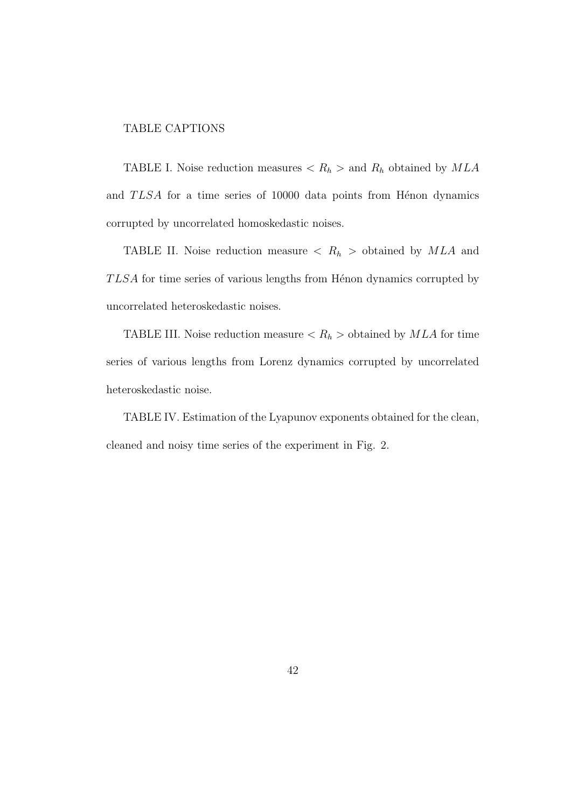#### TABLE CAPTIONS

TABLE I. Noise reduction measures  $\langle R_h \rangle$  and  $R_h$  obtained by  $MLA$ and TLSA for a time series of 10000 data points from Hénon dynamics corrupted by uncorrelated homoskedastic noises.

TABLE II. Noise reduction measure  $\langle R_h \rangle$  obtained by MLA and  $TLSA$  for time series of various lengths from Hénon dynamics corrupted by uncorrelated heteroskedastic noises.

TABLE III. Noise reduction measure  $\langle R_h \rangle$  obtained by  $MLA$  for time series of various lengths from Lorenz dynamics corrupted by uncorrelated heteroskedastic noise.

TABLE IV. Estimation of the Lyapunov exponents obtained for the clean, cleaned and noisy time series of the experiment in Fig. 2.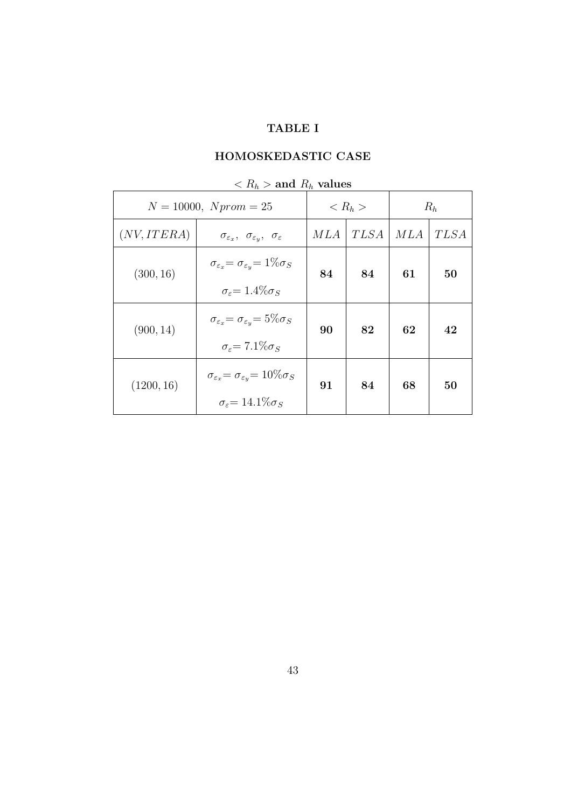### TABLE I

## HOMOSKEDASTIC CASE

| -10<br>$N = 10000, Nprom = 25$ |                                                                        | -10<br>$< R_h >$ |             | $R_h$ |             |
|--------------------------------|------------------------------------------------------------------------|------------------|-------------|-------|-------------|
| (NV,ITERA)                     | $\sigma_{\varepsilon_x}, \sigma_{\varepsilon_y}, \sigma_{\varepsilon}$ | MLA              | <b>TLSA</b> | MLA   | <i>TLSA</i> |
| (300, 16)                      | $\sigma_{\varepsilon_x} = \sigma_{\varepsilon_y} = 1\% \sigma_S$       | 84               | 84          | 61    | 50          |
|                                | $\sigma_{\varepsilon} = 1.4\% \sigma_{S}$                              |                  |             |       |             |
| (900, 14)                      | $\sigma_{\varepsilon_x} = \sigma_{\varepsilon_y} = 5\% \sigma_S$       | 90               | 82          | 62    | 42          |
|                                | $\sigma_{\varepsilon} = 7.1\% \sigma_{S}$                              |                  |             |       |             |
| (1200, 16)                     | $\sigma_{\varepsilon_x} = \sigma_{\varepsilon_y} = 10\% \sigma_{S}$    | 91               | 84          | 68    | 50          |
|                                | $\sigma_{\varepsilon} = 14.1\% \sigma_{S}$                             |                  |             |       |             |

 $R_h >$  and  $R_h$  values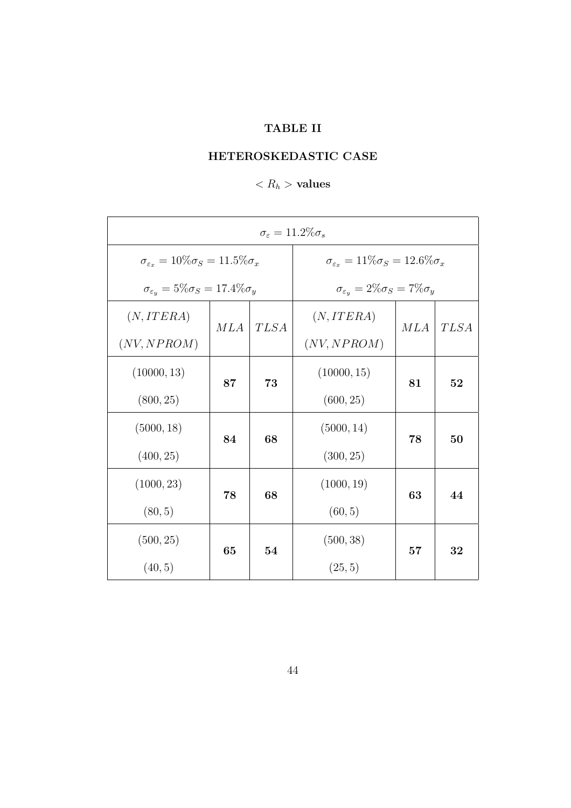## TABLE II

## HETEROSKEDASTIC CASE

## $< R_h$  > values

| $\sigma_{\varepsilon} = 11.2\% \sigma_{s}$                   |     |                                                            |                                                        |     |             |
|--------------------------------------------------------------|-----|------------------------------------------------------------|--------------------------------------------------------|-----|-------------|
| $\sigma_{\varepsilon_x} = 10\% \sigma_{S} = 11.5\% \sigma_x$ |     | $\sigma_{\varepsilon_x} = 11\% \sigma_S = 12.6\% \sigma_x$ |                                                        |     |             |
| $\sigma_{\varepsilon_y} = 5\% \sigma_S = 17.4\% \sigma_y$    |     |                                                            | $\sigma_{\varepsilon_y} = 2\% \sigma_S = 7\% \sigma_y$ |     |             |
| (N,ITERA)                                                    | MLA | <b>TLSA</b>                                                | (N,ITERA)                                              | MLA | <b>TLSA</b> |
| (NV, NPROM)                                                  |     |                                                            | (NV, NPROM)                                            |     |             |
| (10000, 13)                                                  | 87  | 73                                                         | (10000, 15)                                            | 81  | 52          |
| (800, 25)                                                    |     |                                                            | (600, 25)                                              |     |             |
| (5000, 18)                                                   | 84  | 68                                                         | (5000, 14)                                             | 78  | 50          |
| (400, 25)                                                    |     |                                                            | (300, 25)                                              |     |             |
| (1000, 23)                                                   |     |                                                            | (1000, 19)                                             |     |             |
| (80, 5)                                                      | 78  | 68                                                         | (60, 5)                                                | 63  | 44          |
| (500, 25)                                                    |     |                                                            | (500, 38)                                              |     |             |
| (40, 5)                                                      | 65  | 54                                                         | (25, 5)                                                | 57  | 32          |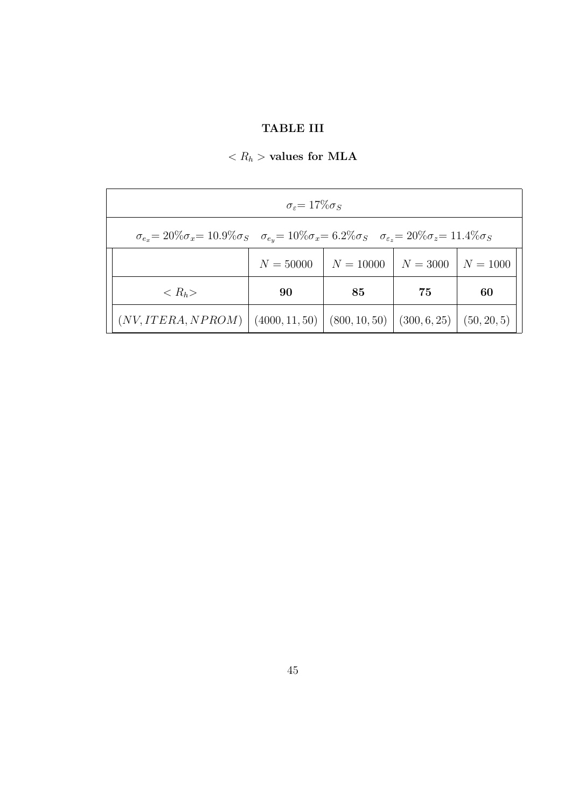## TABLE III

# $\langle R_h \rangle$  values for MLA

| $\sigma_{\varepsilon} = 17\% \sigma_{S}$                                                                                                                    |                                                 |             |            |             |
|-------------------------------------------------------------------------------------------------------------------------------------------------------------|-------------------------------------------------|-------------|------------|-------------|
| $\sigma_{e_x} = 20\% \sigma_x = 10.9\% \sigma_S$ $\sigma_{e_y} = 10\% \sigma_x = 6.2\% \sigma_S$ $\sigma_{\varepsilon_z} = 20\% \sigma_z = 11.4\% \sigma_S$ |                                                 |             |            |             |
|                                                                                                                                                             | $N = 50000$                                     | $N = 10000$ | $N = 3000$ | $N = 1000$  |
| $\langle R_h \rangle$                                                                                                                                       | 90                                              | 85          | 75         | 60          |
| (NV,ITERA, NPROM)                                                                                                                                           | $(4000, 11, 50)$ $(800, 10, 50)$ $(300, 6, 25)$ |             |            | (50, 20, 5) |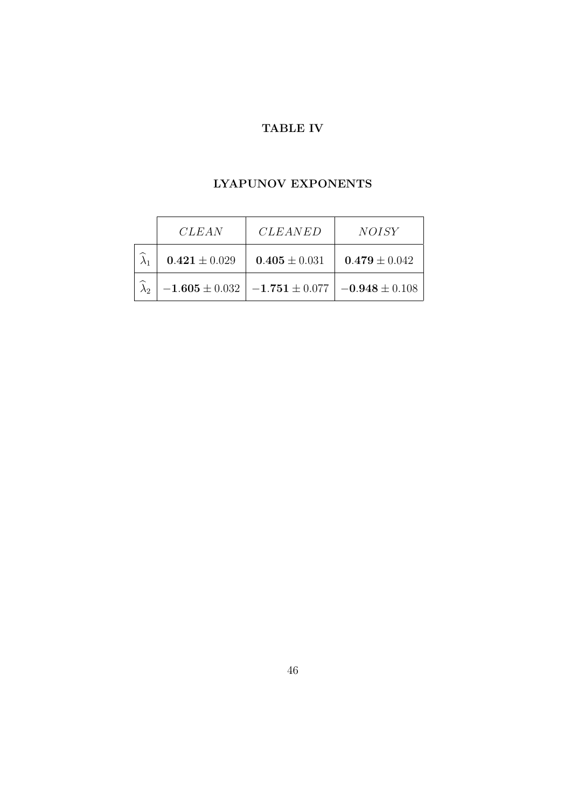## TABLE IV

### LYAPUNOV EXPONENTS

| <i>CLEAN</i>      | <b>CLEANED</b>                          | <i>NOISY</i>       |
|-------------------|-----------------------------------------|--------------------|
| $0.421 \pm 0.029$ | $0.405 \pm 0.031$                       | $0.479 \pm 0.042$  |
|                   | $-1.605 \pm 0.032$   $-1.751 \pm 0.077$ | $-0.948 \pm 0.108$ |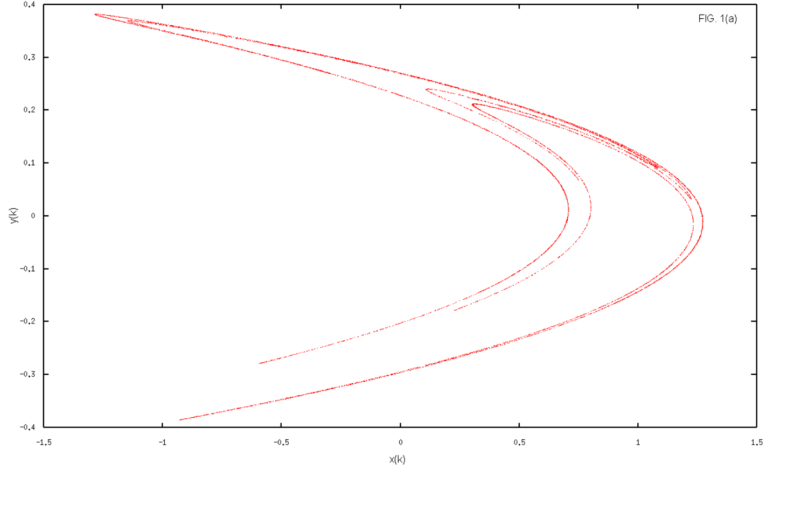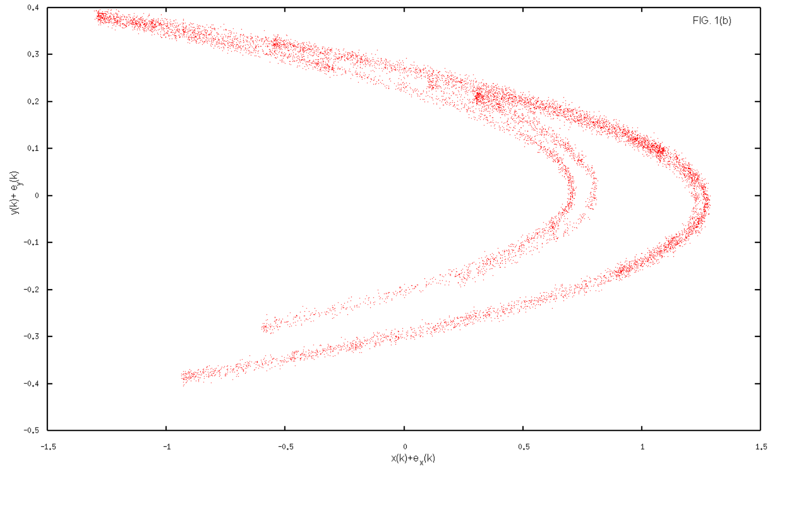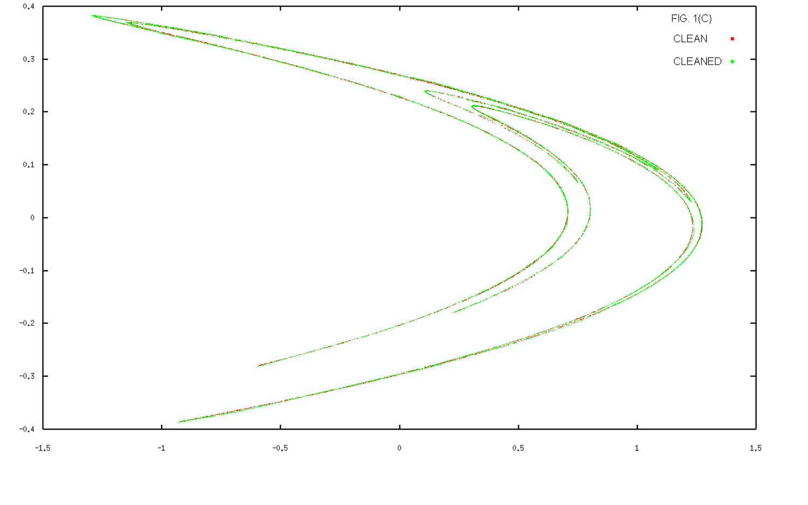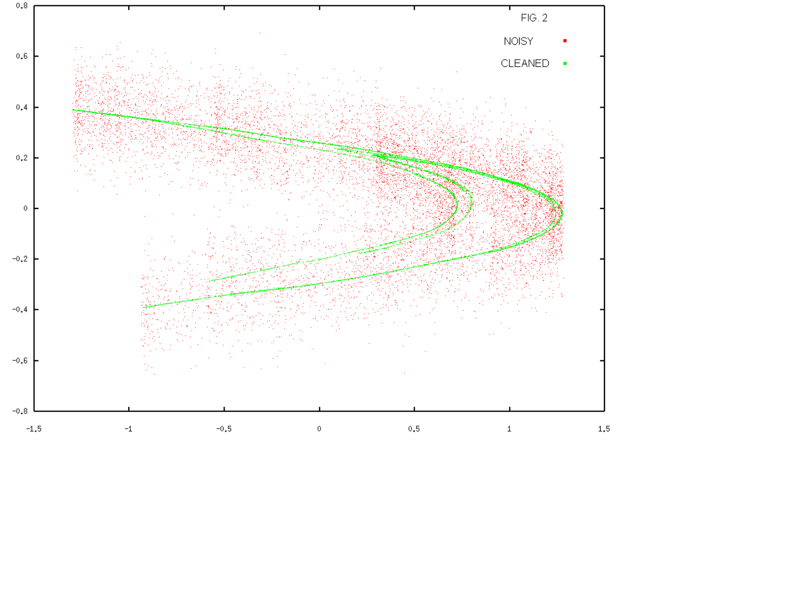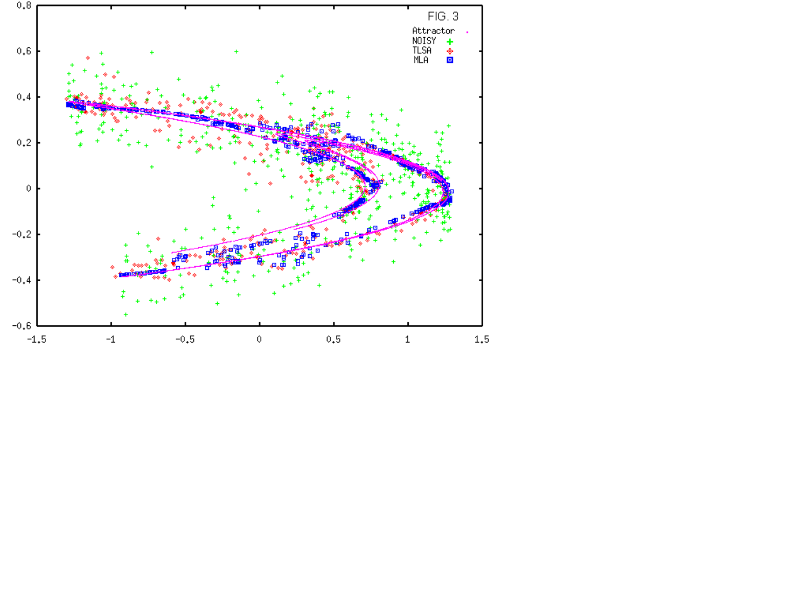